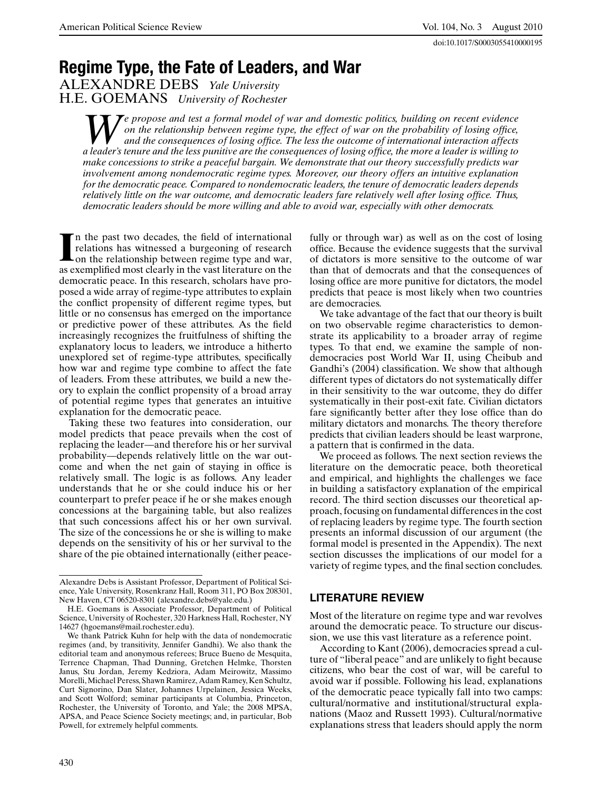doi:10.1017/S0003055410000195

# **Regime Type, the Fate of Leaders, and War** ALEXANDRE DEBS *Yale University* H.E. GOEMANS *University of Rochester*

*We propose and test a formal model of war and domestic politics, building on recent evidence on the relationship between regime type, the effect of war on the probability of losing office, and the consequences of losing office. The less the outcome of international interaction affects a leader's tenure and the less punitive are the consequences of losing office, the more a leader is willing to make concessions to strike a peaceful bargain. We demonstrate that our theory successfully predicts war involvement among nondemocratic regime types. Moreover, our theory offers an intuitive explanation for the democratic peace. Compared to nondemocratic leaders, the tenure of democratic leaders depends relatively little on the war outcome, and democratic leaders fare relatively well after losing office. Thus, democratic leaders should be more willing and able to avoid war, especially with other democrats.*

In the past two decades, the field of international relations has witnessed a burgeoning of research on the relationship between regime type and war, as exemplified most clearly in the vast literature on the n the past two decades, the field of international relations has witnessed a burgeoning of research on the relationship between regime type and war, democratic peace. In this research, scholars have proposed a wide array of regime-type attributes to explain the conflict propensity of different regime types, but little or no consensus has emerged on the importance or predictive power of these attributes. As the field increasingly recognizes the fruitfulness of shifting the explanatory locus to leaders, we introduce a hitherto unexplored set of regime-type attributes, specifically how war and regime type combine to affect the fate of leaders. From these attributes, we build a new theory to explain the conflict propensity of a broad array of potential regime types that generates an intuitive explanation for the democratic peace.

Taking these two features into consideration, our model predicts that peace prevails when the cost of replacing the leader—–and therefore his or her survival probability—–depends relatively little on the war outcome and when the net gain of staying in office is relatively small. The logic is as follows. Any leader understands that he or she could induce his or her counterpart to prefer peace if he or she makes enough concessions at the bargaining table, but also realizes that such concessions affect his or her own survival. The size of the concessions he or she is willing to make depends on the sensitivity of his or her survival to the share of the pie obtained internationally (either peacefully or through war) as well as on the cost of losing office. Because the evidence suggests that the survival of dictators is more sensitive to the outcome of war than that of democrats and that the consequences of losing office are more punitive for dictators, the model predicts that peace is most likely when two countries are democracies.

We take advantage of the fact that our theory is built on two observable regime characteristics to demonstrate its applicability to a broader array of regime types. To that end, we examine the sample of nondemocracies post World War II, using Cheibub and Gandhi's (2004) classification. We show that although different types of dictators do not systematically differ in their sensitivity to the war outcome, they do differ systematically in their post-exit fate. Civilian dictators fare significantly better after they lose office than do military dictators and monarchs. The theory therefore predicts that civilian leaders should be least warprone, a pattern that is confirmed in the data.

We proceed as follows. The next section reviews the literature on the democratic peace, both theoretical and empirical, and highlights the challenges we face in building a satisfactory explanation of the empirical record. The third section discusses our theoretical approach, focusing on fundamental differences in the cost of replacing leaders by regime type. The fourth section presents an informal discussion of our argument (the formal model is presented in the Appendix). The next section discusses the implications of our model for a variety of regime types, and the final section concludes.

# **LITERATURE REVIEW**

Most of the literature on regime type and war revolves around the democratic peace. To structure our discussion, we use this vast literature as a reference point.

According to Kant (2006), democracies spread a culture of "liberal peace" and are unlikely to fight because citizens, who bear the cost of war, will be careful to avoid war if possible. Following his lead, explanations of the democratic peace typically fall into two camps: cultural/normative and institutional/structural explanations (Maoz and Russett 1993). Cultural/normative explanations stress that leaders should apply the norm

Alexandre Debs is Assistant Professor, Department of Political Science, Yale University, Rosenkranz Hall, Room 311, PO Box 208301, New Haven, CT 06520-8301 (alexandre.debs@yale.edu.)

H.E. Goemans is Associate Professor, Department of Political Science, University of Rochester, 320 Harkness Hall, Rochester, NY 14627 (hgoemans@mail.rochester.edu).

We thank Patrick Kuhn for help with the data of nondemocratic regimes (and, by transitivity, Jennifer Gandhi). We also thank the editorial team and anonymous referees; Bruce Bueno de Mesquita, Terrence Chapman, Thad Dunning, Gretchen Helmke, Thorsten Janus, Stu Jordan, Jeremy Kedziora, Adam Meirowitz, Massimo Morelli,Michael Peress, Shawn Ramirez, Adam Ramey, Ken Schultz, Curt Signorino, Dan Slater, Johannes Urpelainen, Jessica Weeks, and Scott Wolford; seminar participants at Columbia, Princeton, Rochester, the University of Toronto, and Yale; the 2008 MPSA, APSA, and Peace Science Society meetings; and, in particular, Bob Powell, for extremely helpful comments.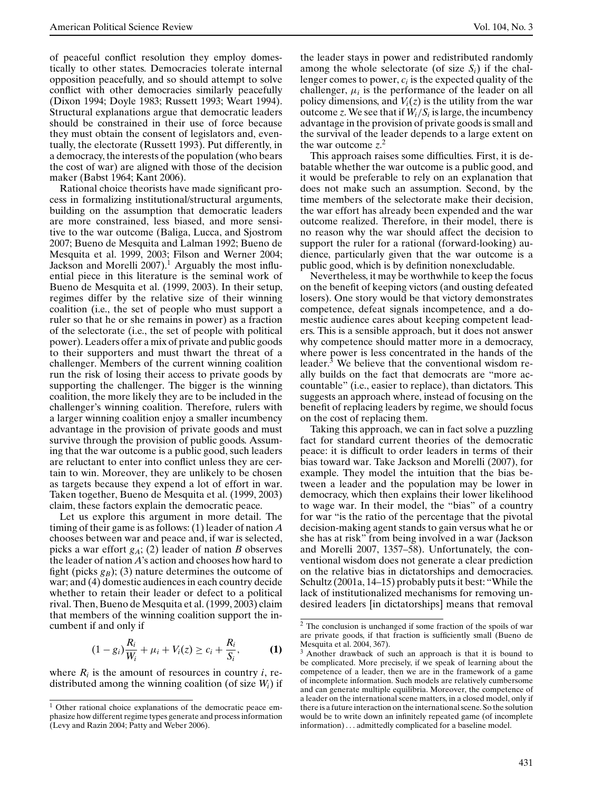of peaceful conflict resolution they employ domestically to other states. Democracies tolerate internal opposition peacefully, and so should attempt to solve conflict with other democracies similarly peacefully (Dixon 1994; Doyle 1983; Russett 1993; Weart 1994). Structural explanations argue that democratic leaders should be constrained in their use of force because they must obtain the consent of legislators and, eventually, the electorate (Russett 1993). Put differently, in a democracy, the interests of the population (who bears the cost of war) are aligned with those of the decision maker (Babst 1964; Kant 2006).

Rational choice theorists have made significant process in formalizing institutional/structural arguments, building on the assumption that democratic leaders are more constrained, less biased, and more sensitive to the war outcome (Baliga, Lucca, and Sjostrom 2007; Bueno de Mesquita and Lalman 1992; Bueno de Mesquita et al. 1999, 2003; Filson and Werner 2004; Jackson and Morelli  $2007$ ).<sup>1</sup> Arguably the most influential piece in this literature is the seminal work of Bueno de Mesquita et al. (1999, 2003). In their setup, regimes differ by the relative size of their winning coalition (i.e., the set of people who must support a ruler so that he or she remains in power) as a fraction of the selectorate (i.e., the set of people with political power). Leaders offer a mix of private and public goods to their supporters and must thwart the threat of a challenger. Members of the current winning coalition run the risk of losing their access to private goods by supporting the challenger. The bigger is the winning coalition, the more likely they are to be included in the challenger's winning coalition. Therefore, rulers with a larger winning coalition enjoy a smaller incumbency advantage in the provision of private goods and must survive through the provision of public goods. Assuming that the war outcome is a public good, such leaders are reluctant to enter into conflict unless they are certain to win. Moreover, they are unlikely to be chosen as targets because they expend a lot of effort in war. Taken together, Bueno de Mesquita et al. (1999, 2003) claim, these factors explain the democratic peace.

Let us explore this argument in more detail. The timing of their game is as follows: (1) leader of nation *A* chooses between war and peace and, if war is selected, picks a war effort  $g_A$ ; (2) leader of nation *B* observes the leader of nation *A*'s action and chooses how hard to fight (picks  $g_B$ ); (3) nature determines the outcome of war; and (4) domestic audiences in each country decide whether to retain their leader or defect to a political rival. Then, Bueno de Mesquita et al. (1999, 2003) claim that members of the winning coalition support the incumbent if and only if

$$
(1 - g_i) \frac{R_i}{W_i} + \mu_i + V_i(z) \ge c_i + \frac{R_i}{S_i}, \hspace{1cm} (1)
$$

where  $R_i$  is the amount of resources in country *i*, redistributed among the winning coalition (of size *Wi*) if the leader stays in power and redistributed randomly among the whole selectorate (of size  $S_i$ ) if the challenger comes to power, *ci* is the expected quality of the challenger,  $\mu_i$  is the performance of the leader on all policy dimensions, and  $V_i(z)$  is the utility from the war outcome *z*. We see that if  $W_i/S_i$  is large, the incumbency advantage in the provision of private goods is small and the survival of the leader depends to a large extent on the war outcome *z*. 2

This approach raises some difficulties. First, it is debatable whether the war outcome is a public good, and it would be preferable to rely on an explanation that does not make such an assumption. Second, by the time members of the selectorate make their decision, the war effort has already been expended and the war outcome realized. Therefore, in their model, there is no reason why the war should affect the decision to support the ruler for a rational (forward-looking) audience, particularly given that the war outcome is a public good, which is by definition nonexcludable.

Nevertheless, it may be worthwhile to keep the focus on the benefit of keeping victors (and ousting defeated losers). One story would be that victory demonstrates competence, defeat signals incompetence, and a domestic audience cares about keeping competent leaders. This is a sensible approach, but it does not answer why competence should matter more in a democracy, where power is less concentrated in the hands of the leader.<sup>3</sup> We believe that the conventional wisdom really builds on the fact that democrats are "more accountable" (i.e., easier to replace), than dictators. This suggests an approach where, instead of focusing on the benefit of replacing leaders by regime, we should focus on the cost of replacing them.

Taking this approach, we can in fact solve a puzzling fact for standard current theories of the democratic peace: it is difficult to order leaders in terms of their bias toward war. Take Jackson and Morelli (2007), for example. They model the intuition that the bias between a leader and the population may be lower in democracy, which then explains their lower likelihood to wage war. In their model, the "bias" of a country for war "is the ratio of the percentage that the pivotal decision-making agent stands to gain versus what he or she has at risk" from being involved in a war (Jackson and Morelli 2007, 1357–58). Unfortunately, the conventional wisdom does not generate a clear prediction on the relative bias in dictatorships and democracies. Schultz (2001a, 14–15) probably puts it best: "While the lack of institutionalized mechanisms for removing undesired leaders [in dictatorships] means that removal

<sup>1</sup> Other rational choice explanations of the democratic peace emphasize how different regime types generate and process information (Levy and Razin 2004; Patty and Weber 2006).

 $2$  The conclusion is unchanged if some fraction of the spoils of war are private goods, if that fraction is sufficiently small (Bueno de Mesquita et al. 2004, 367).

<sup>3</sup> Another drawback of such an approach is that it is bound to be complicated. More precisely, if we speak of learning about the competence of a leader, then we are in the framework of a game of incomplete information. Such models are relatively cumbersome and can generate multiple equilibria. Moreover, the competence of a leader on the international scene matters, in a closed model, only if there is a future interaction on the international scene. So the solution would be to write down an infinitely repeated game (of incomplete information) . . . admittedly complicated for a baseline model.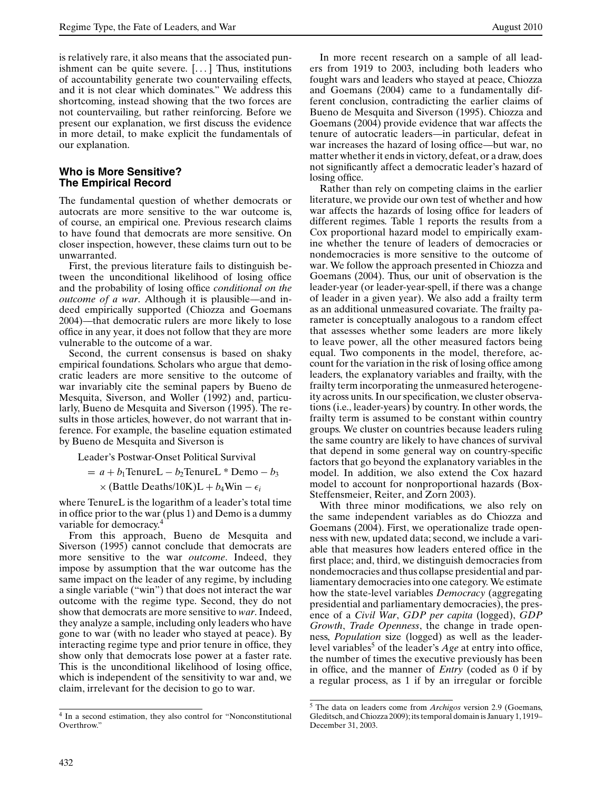is relatively rare, it also means that the associated punishment can be quite severe.  $[...]$  Thus, institutions of accountability generate two countervailing effects, and it is not clear which dominates." We address this shortcoming, instead showing that the two forces are not countervailing, but rather reinforcing. Before we present our explanation, we first discuss the evidence in more detail, to make explicit the fundamentals of our explanation.

### **Who is More Sensitive? The Empirical Record**

The fundamental question of whether democrats or autocrats are more sensitive to the war outcome is, of course, an empirical one. Previous research claims to have found that democrats are more sensitive. On closer inspection, however, these claims turn out to be unwarranted.

First, the previous literature fails to distinguish between the unconditional likelihood of losing office and the probability of losing office *conditional on the outcome of a war*. Although it is plausible—and indeed empirically supported (Chiozza and Goemans 2004)—–that democratic rulers are more likely to lose office in any year, it does not follow that they are more vulnerable to the outcome of a war.

Second, the current consensus is based on shaky empirical foundations. Scholars who argue that democratic leaders are more sensitive to the outcome of war invariably cite the seminal papers by Bueno de Mesquita, Siverson, and Woller (1992) and, particularly, Bueno de Mesquita and Siverson (1995). The results in those articles, however, do not warrant that inference. For example, the baseline equation estimated by Bueno de Mesquita and Siverson is

Leader's Postwar-Onset Political Survival

 $= a + b_1$ TenureL – *b*<sub>2</sub>TenureL \* Demo – *b*<sub>3</sub>  $\times$  (Battle Deaths/10K)L + *b*<sub>4</sub>Win –  $\epsilon$ <sub>i</sub>

where TenureL is the logarithm of a leader's total time in office prior to the war (plus 1) and Demo is a dummy variable for democracy.<sup>4</sup>

From this approach, Bueno de Mesquita and Siverson (1995) cannot conclude that democrats are more sensitive to the war *outcome*. Indeed, they impose by assumption that the war outcome has the same impact on the leader of any regime, by including a single variable ("win") that does not interact the war outcome with the regime type. Second, they do not show that democrats are more sensitive to *war*. Indeed, they analyze a sample, including only leaders who have gone to war (with no leader who stayed at peace). By interacting regime type and prior tenure in office, they show only that democrats lose power at a faster rate. This is the unconditional likelihood of losing office, which is independent of the sensitivity to war and, we claim, irrelevant for the decision to go to war.

In more recent research on a sample of all leaders from 1919 to 2003, including both leaders who fought wars and leaders who stayed at peace, Chiozza and Goemans (2004) came to a fundamentally different conclusion, contradicting the earlier claims of Bueno de Mesquita and Siverson (1995). Chiozza and Goemans (2004) provide evidence that war affects the tenure of autocratic leaders—–in particular, defeat in war increases the hazard of losing office—but war, no matter whether it ends in victory, defeat, or a draw, does not significantly affect a democratic leader's hazard of losing office.

Rather than rely on competing claims in the earlier literature, we provide our own test of whether and how war affects the hazards of losing office for leaders of different regimes. Table 1 reports the results from a Cox proportional hazard model to empirically examine whether the tenure of leaders of democracies or nondemocracies is more sensitive to the outcome of war. We follow the approach presented in Chiozza and Goemans (2004). Thus, our unit of observation is the leader-year (or leader-year-spell, if there was a change of leader in a given year). We also add a frailty term as an additional unmeasured covariate. The frailty parameter is conceptually analogous to a random effect that assesses whether some leaders are more likely to leave power, all the other measured factors being equal. Two components in the model, therefore, account for the variation in the risk of losing office among leaders, the explanatory variables and frailty, with the frailty term incorporating the unmeasured heterogeneity across units. In our specification, we cluster observations (i.e., leader-years) by country. In other words, the frailty term is assumed to be constant within country groups. We cluster on countries because leaders ruling the same country are likely to have chances of survival that depend in some general way on country-specific factors that go beyond the explanatory variables in the model. In addition, we also extend the Cox hazard model to account for nonproportional hazards (Box-Steffensmeier, Reiter, and Zorn 2003).

With three minor modifications, we also rely on the same independent variables as do Chiozza and Goemans (2004). First, we operationalize trade openness with new, updated data; second, we include a variable that measures how leaders entered office in the first place; and, third, we distinguish democracies from nondemocracies and thus collapse presidential and parliamentary democracies into one category. We estimate how the state-level variables *Democracy* (aggregating presidential and parliamentary democracies), the presence of a *Civil War*, *GDP per capita* (logged), *GDP Growth*, *Trade Openness*, the change in trade openness, *Population* size (logged) as well as the leaderlevel variables<sup>3</sup> of the leader's *Age* at entry into office, the number of times the executive previously has been in office, and the manner of *Entry* (coded as 0 if by a regular process, as 1 if by an irregular or forcible

<sup>4</sup> In a second estimation, they also control for "Nonconstitutional Overthrow"

<sup>5</sup> The data on leaders come from *Archigos* version 2*.*9 (Goemans, Gleditsch, and Chiozza 2009); its temporal domain is January 1, 1919– December 31, 2003.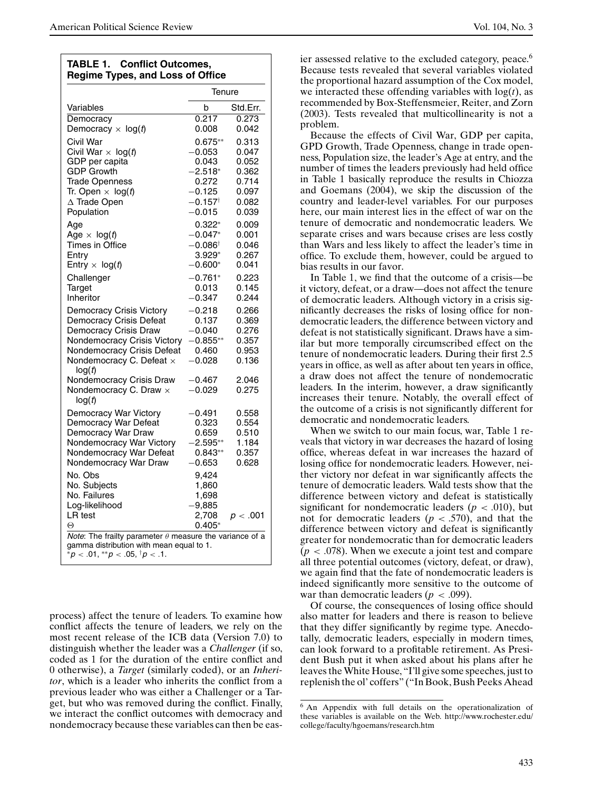**TABLE 1. Conflict Outcomes, Regime Types, and Loss of Office**

|                                                                   |                    | Tenure         |  |
|-------------------------------------------------------------------|--------------------|----------------|--|
| Variables                                                         | b                  | Std.Err.       |  |
| Democracy                                                         | 0.217              | 0.273          |  |
| Democracy $\times$ log(t)                                         | 0.008              | 0.042          |  |
| Civil War                                                         | $0.675**$          | 0.313          |  |
| Civil War $\times$ log(t)                                         | $-0.053$           | 0.047          |  |
| GDP per capita                                                    | 0.043              | 0.052          |  |
| <b>GDP</b> Growth                                                 | $-2.518*$          | 0.362          |  |
| <b>Trade Openness</b><br>Tr. Open $\times$ log(t)                 | 0.272<br>$-0.125$  | 0.714<br>0.097 |  |
| $\triangle$ Trade Open                                            | $-0.157^{\dagger}$ | 0.082          |  |
| Population                                                        | $-0.015$           | 0.039          |  |
| Age                                                               | $0.322*$           | 0.009          |  |
| Age $\times$ log( <i>t</i> )                                      | $-0.047*$          | 0.001          |  |
| <b>Times in Office</b>                                            | $-0.086^{\dagger}$ | 0.046          |  |
| Entry                                                             | $3.929*$           | 0.267          |  |
| Entry $\times$ log( <i>t</i> )                                    | $-0.600*$          | 0.041          |  |
| Challenger                                                        | $-0.761*$          | 0.223          |  |
| Target                                                            | 0.013              | 0.145          |  |
| Inheritor                                                         | $-0.347$           | 0.244          |  |
| Democracy Crisis Victory                                          | $-0.218$           | 0.266          |  |
| Democracy Crisis Defeat                                           | 0.137              | 0.369          |  |
| Democracy Crisis Draw                                             | $-0.040$           | 0.276          |  |
| Nondemocracy Crisis Victory                                       | $-0.855**$         | 0.357          |  |
| Nondemocracy Crisis Defeat                                        | 0.460              | 0.953          |  |
| Nondemocracy C. Defeat x<br>log(t)                                | $-0.028$           | 0.136          |  |
| Nondemocracy Crisis Draw                                          | $-0.467$           | 2.046          |  |
| Nondemocracy C. Draw x                                            | $-0.029$           | 0.275          |  |
| log(t)                                                            |                    |                |  |
| Democracy War Victory                                             | $-0.491$           | 0.558          |  |
| Democracy War Defeat                                              | 0.323              | 0.554          |  |
| Democracy War Draw                                                | 0.659              | 0.510          |  |
| Nondemocracy War Victory                                          | $-2.595**$         | 1.184          |  |
| Nondemocracy War Defeat                                           | $0.843**$          | 0.357          |  |
| Nondemocracy War Draw                                             | $-0.653$           | 0.628          |  |
| No. Obs                                                           | 9,424              |                |  |
| No. Subjects                                                      | 1,860              |                |  |
| No. Failures<br>Log-likelihood                                    | 1,698<br>$-9,885$  |                |  |
| LR test                                                           | 2,708              | p < .001       |  |
| Θ                                                                 | $0.405*$           |                |  |
| Note: The frailty parameter $\theta$ measure the variance of a    |                    |                |  |
| gamma distribution with mean equal to 1.                          |                    |                |  |
| $\frac{1}{p}$ $p$ $<$ .01, $*$ $p$ $<$ .05, $\frac{1}{p}$ $<$ .1. |                    |                |  |

process) affect the tenure of leaders. To examine how conflict affects the tenure of leaders, we rely on the most recent release of the ICB data (Version 7.0) to distinguish whether the leader was a *Challenger* (if so, coded as 1 for the duration of the entire conflict and 0 otherwise), a *Target* (similarly coded), or an *Inheritor*, which is a leader who inherits the conflict from a previous leader who was either a Challenger or a Target, but who was removed during the conflict. Finally, we interact the conflict outcomes with democracy and nondemocracy because these variables can then be easier assessed relative to the excluded category, peace.<sup>6</sup> Because tests revealed that several variables violated the proportional hazard assumption of the Cox model, we interacted these offending variables with  $log(t)$ , as recommended by Box-Steffensmeier, Reiter, and Zorn (2003). Tests revealed that multicollinearity is not a problem.

Because the effects of Civil War, GDP per capita, GPD Growth, Trade Openness, change in trade openness, Population size, the leader's Age at entry, and the number of times the leaders previously had held office in Table 1 basically reproduce the results in Chiozza and Goemans (2004), we skip the discussion of the country and leader-level variables. For our purposes here, our main interest lies in the effect of war on the tenure of democratic and nondemocratic leaders. We separate crises and wars because crises are less costly than Wars and less likely to affect the leader's time in office. To exclude them, however, could be argued to bias results in our favor.

In Table 1, we find that the outcome of a crisis—–be it victory, defeat, or a draw—–does not affect the tenure of democratic leaders. Although victory in a crisis significantly decreases the risks of losing office for nondemocratic leaders, the difference between victory and defeat is not statistically significant. Draws have a similar but more temporally circumscribed effect on the tenure of nondemocratic leaders. During their first 2.5 years in office, as well as after about ten years in office, a draw does not affect the tenure of nondemocratic leaders. In the interim, however, a draw significantly increases their tenure. Notably, the overall effect of the outcome of a crisis is not significantly different for democratic and nondemocratic leaders.

When we switch to our main focus, war, Table 1 reveals that victory in war decreases the hazard of losing office, whereas defeat in war increases the hazard of losing office for nondemocratic leaders. However, neither victory nor defeat in war significantly affects the tenure of democratic leaders. Wald tests show that the difference between victory and defeat is statistically significant for nondemocratic leaders ( $p < .010$ ), but not for democratic leaders ( $p < .570$ ), and that the difference between victory and defeat is significantly greater for nondemocratic than for democratic leaders  $(p < .078)$ . When we execute a joint test and compare all three potential outcomes (victory, defeat, or draw), we again find that the fate of nondemocratic leaders is indeed significantly more sensitive to the outcome of war than democratic leaders ( $p < .099$ ).

Of course, the consequences of losing office should also matter for leaders and there is reason to believe that they differ significantly by regime type. Anecdotally, democratic leaders, especially in modern times, can look forward to a profitable retirement. As President Bush put it when asked about his plans after he leaves theWhite House, "I'll give some speeches, just to replenish the ol' coffers" ("In Book, Bush Peeks Ahead

<sup>6</sup> An Appendix with full details on the operationalization of these variables is available on the Web. http://www.rochester.edu/ college/faculty/hgoemans/research.htm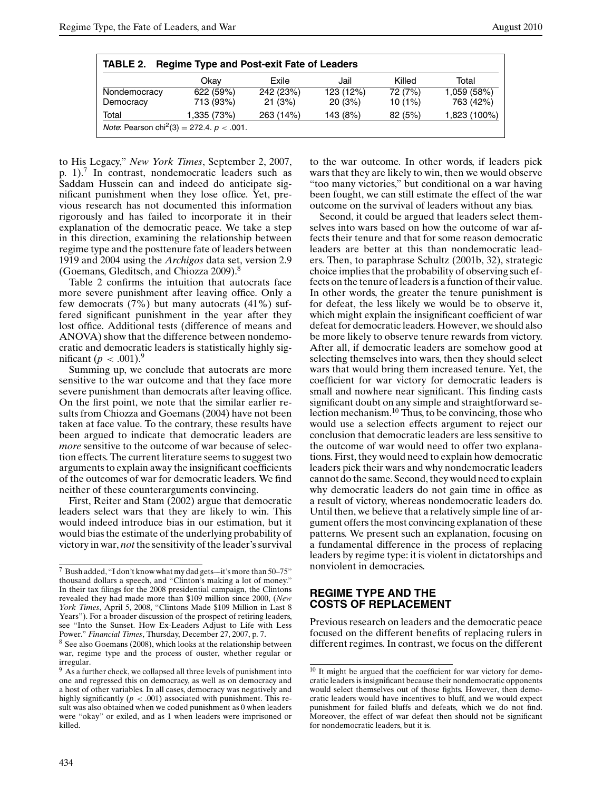| <b>Regime Type and Post-exit Fate of Leaders</b><br>TABLE 2.    |                        |                     |                     |                   |                          |
|-----------------------------------------------------------------|------------------------|---------------------|---------------------|-------------------|--------------------------|
|                                                                 | Okav                   | Exile               | Jail                | Killed            | Total                    |
| Nondemocracy<br>Democracy                                       | 622 (59%)<br>713 (93%) | 242 (23%)<br>21(3%) | 123 (12%)<br>20(3%) | 72 (7%)<br>10(1%) | 1,059 (58%)<br>763 (42%) |
| Total                                                           | 1,335 (73%)            | 263 (14%)           | 143 (8%)            | 82(5%)            | 1,823 (100%)             |
| <i>Note:</i> Pearson chi <sup>2</sup> (3) = 272.4. $p < .001$ . |                        |                     |                     |                   |                          |

to His Legacy," *New York Times*, September 2, 2007, p.  $1$ ).<sup>7</sup> In contrast, nondemocratic leaders such as Saddam Hussein can and indeed do anticipate significant punishment when they lose office. Yet, previous research has not documented this information rigorously and has failed to incorporate it in their explanation of the democratic peace. We take a step in this direction, examining the relationship between regime type and the posttenure fate of leaders between 1919 and 2004 using the *Archigos* data set, version 2.9 (Goemans, Gleditsch, and Chiozza 2009).8

Table 2 confirms the intuition that autocrats face more severe punishment after leaving office. Only a few democrats (7%) but many autocrats (41%) suffered significant punishment in the year after they lost office. Additional tests (difference of means and ANOVA) show that the difference between nondemocratic and democratic leaders is statistically highly significant ( $p < .001$ ).<sup>9</sup>

Summing up, we conclude that autocrats are more sensitive to the war outcome and that they face more severe punishment than democrats after leaving office. On the first point, we note that the similar earlier results from Chiozza and Goemans (2004) have not been taken at face value. To the contrary, these results have been argued to indicate that democratic leaders are *more* sensitive to the outcome of war because of selection effects. The current literature seems to suggest two arguments to explain away the insignificant coefficients of the outcomes of war for democratic leaders. We find neither of these counterarguments convincing.

First, Reiter and Stam (2002) argue that democratic leaders select wars that they are likely to win. This would indeed introduce bias in our estimation, but it would bias the estimate of the underlying probability of victory in war, *not* the sensitivity of the leader's survival to the war outcome. In other words, if leaders pick wars that they are likely to win, then we would observe "too many victories," but conditional on a war having been fought, we can still estimate the effect of the war outcome on the survival of leaders without any bias.

Second, it could be argued that leaders select themselves into wars based on how the outcome of war affects their tenure and that for some reason democratic leaders are better at this than nondemocratic leaders. Then, to paraphrase Schultz (2001b, 32), strategic choice implies that the probability of observing such effects on the tenure of leaders is a function of their value. In other words, the greater the tenure punishment is for defeat, the less likely we would be to observe it, which might explain the insignificant coefficient of war defeat for democratic leaders. However, we should also be more likely to observe tenure rewards from victory. After all, if democratic leaders are somehow good at selecting themselves into wars, then they should select wars that would bring them increased tenure. Yet, the coefficient for war victory for democratic leaders is small and nowhere near significant. This finding casts significant doubt on any simple and straightforward selection mechanism.10 Thus, to be convincing, those who would use a selection effects argument to reject our conclusion that democratic leaders are less sensitive to the outcome of war would need to offer two explanations. First, they would need to explain how democratic leaders pick their wars and why nondemocratic leaders cannot do the same. Second, they would need to explain why democratic leaders do not gain time in office as a result of victory, whereas nondemocratic leaders do. Until then, we believe that a relatively simple line of argument offers the most convincing explanation of these patterns. We present such an explanation, focusing on a fundamental difference in the process of replacing leaders by regime type: it is violent in dictatorships and nonviolent in democracies.

# **REGIME TYPE AND THE COSTS OF REPLACEMENT**

Previous research on leaders and the democratic peace focused on the different benefits of replacing rulers in different regimes. In contrast, we focus on the different

 $7$  Bush added, "I don't know what my dad gets—it's more than 50–75" thousand dollars a speech, and "Clinton's making a lot of money." In their tax filings for the 2008 presidential campaign, the Clintons revealed they had made more than \$109 million since 2000, (*New York Times*, April 5, 2008, "Clintons Made \$109 Million in Last 8 Years"). For a broader discussion of the prospect of retiring leaders, see "Into the Sunset. How Ex-Leaders Adjust to Life with Less Power." *Financial Times*, Thursday, December 27, 2007, p. 7.

<sup>8</sup> See also Goemans (2008), which looks at the relationship between war, regime type and the process of ouster, whether regular or irregular.

 $9<sup>9</sup>$  As a further check, we collapsed all three levels of punishment into one and regressed this on democracy, as well as on democracy and a host of other variables. In all cases, democracy was negatively and highly significantly (*p < .*001) associated with punishment. This result was also obtained when we coded punishment as 0 when leaders were "okay" or exiled, and as 1 when leaders were imprisoned or killed.

<sup>&</sup>lt;sup>10</sup> It might be argued that the coefficient for war victory for democratic leaders is insignificant because their nondemocratic opponents would select themselves out of those fights. However, then democratic leaders would have incentives to bluff, and we would expect punishment for failed bluffs and defeats, which we do not find. Moreover, the effect of war defeat then should not be significant for nondemocratic leaders, but it is.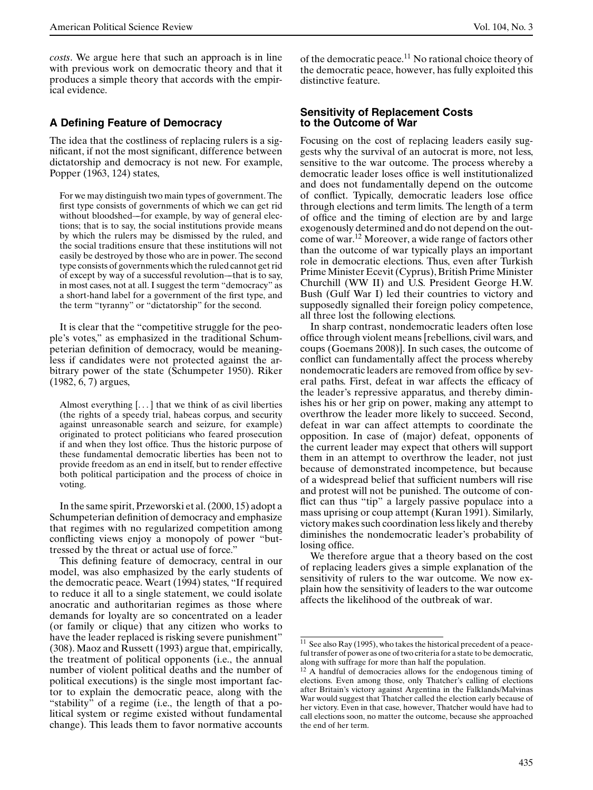*costs*. We argue here that such an approach is in line with previous work on democratic theory and that it produces a simple theory that accords with the empirical evidence.

### **A Defining Feature of Democracy**

The idea that the costliness of replacing rulers is a significant, if not the most significant, difference between dictatorship and democracy is not new. For example, Popper (1963, 124) states,

For we may distinguish two main types of government. The first type consists of governments of which we can get rid without bloodshed—for example, by way of general elections; that is to say, the social institutions provide means by which the rulers may be dismissed by the ruled, and the social traditions ensure that these institutions will not easily be destroyed by those who are in power. The second type consists of governments which the ruled cannot get rid of except by way of a successful revolution—–that is to say, in most cases, not at all. I suggest the term "democracy" as a short-hand label for a government of the first type, and the term "tyranny" or "dictatorship" for the second.

It is clear that the "competitive struggle for the people's votes," as emphasized in the traditional Schumpeterian definition of democracy, would be meaningless if candidates were not protected against the arbitrary power of the state (Schumpeter 1950). Riker (1982, 6, 7) argues,

Almost everything  $[...]$  that we think of as civil liberties (the rights of a speedy trial, habeas corpus, and security against unreasonable search and seizure, for example) originated to protect politicians who feared prosecution if and when they lost office. Thus the historic purpose of these fundamental democratic liberties has been not to provide freedom as an end in itself, but to render effective both political participation and the process of choice in voting.

In the same spirit, Przeworski et al. (2000, 15) adopt a Schumpeterian definition of democracy and emphasize that regimes with no regularized competition among conflicting views enjoy a monopoly of power "buttressed by the threat or actual use of force."

This defining feature of democracy, central in our model, was also emphasized by the early students of the democratic peace. Weart (1994) states, "If required to reduce it all to a single statement, we could isolate anocratic and authoritarian regimes as those where demands for loyalty are so concentrated on a leader (or family or clique) that any citizen who works to have the leader replaced is risking severe punishment" (308). Maoz and Russett (1993) argue that, empirically, the treatment of political opponents (i.e., the annual number of violent political deaths and the number of political executions) is the single most important factor to explain the democratic peace, along with the "stability" of a regime (i.e., the length of that a political system or regime existed without fundamental change). This leads them to favor normative accounts

of the democratic peace.<sup>11</sup> No rational choice theory of the democratic peace, however, has fully exploited this distinctive feature.

#### **Sensitivity of Replacement Costs to the Outcome of War**

Focusing on the cost of replacing leaders easily suggests why the survival of an autocrat is more, not less, sensitive to the war outcome. The process whereby a democratic leader loses office is well institutionalized and does not fundamentally depend on the outcome of conflict. Typically, democratic leaders lose office through elections and term limits. The length of a term of office and the timing of election are by and large exogenously determined and do not depend on the outcome of war.<sup>12</sup> Moreover, a wide range of factors other than the outcome of war typically plays an important role in democratic elections. Thus, even after Turkish Prime Minister Ecevit (Cyprus), British Prime Minister Churchill (WW II) and U.S. President George H.W. Bush (Gulf War I) led their countries to victory and supposedly signalled their foreign policy competence, all three lost the following elections.

In sharp contrast, nondemocratic leaders often lose office through violent means [rebellions, civil wars, and coups (Goemans 2008)]. In such cases, the outcome of conflict can fundamentally affect the process whereby nondemocratic leaders are removed from office by several paths. First, defeat in war affects the efficacy of the leader's repressive apparatus, and thereby diminishes his or her grip on power, making any attempt to overthrow the leader more likely to succeed. Second, defeat in war can affect attempts to coordinate the opposition. In case of (major) defeat, opponents of the current leader may expect that others will support them in an attempt to overthrow the leader, not just because of demonstrated incompetence, but because of a widespread belief that sufficient numbers will rise and protest will not be punished. The outcome of conflict can thus "tip" a largely passive populace into a mass uprising or coup attempt (Kuran 1991). Similarly, victory makes such coordination less likely and thereby diminishes the nondemocratic leader's probability of losing office.

We therefore argue that a theory based on the cost of replacing leaders gives a simple explanation of the sensitivity of rulers to the war outcome. We now explain how the sensitivity of leaders to the war outcome affects the likelihood of the outbreak of war.

 $11$  See also Ray (1995), who takes the historical precedent of a peaceful transfer of power as one of two criteria for a state to be democratic, along with suffrage for more than half the population.

<sup>&</sup>lt;sup>12</sup> A handful of democracies allows for the endogenous timing of elections. Even among those, only Thatcher's calling of elections after Britain's victory against Argentina in the Falklands/Malvinas War would suggest that Thatcher called the election early because of her victory. Even in that case, however, Thatcher would have had to call elections soon, no matter the outcome, because she approached the end of her term.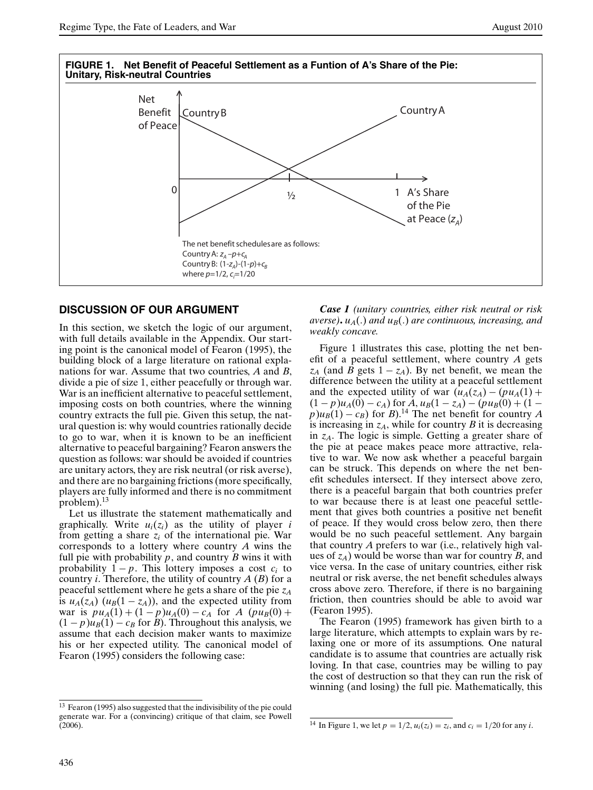

## **DISCUSSION OF OUR ARGUMENT**

In this section, we sketch the logic of our argument, with full details available in the Appendix. Our starting point is the canonical model of Fearon (1995), the building block of a large literature on rational explanations for war. Assume that two countries, *A* and *B*, divide a pie of size 1, either peacefully or through war. War is an inefficient alternative to peaceful settlement, imposing costs on both countries, where the winning country extracts the full pie. Given this setup, the natural question is: why would countries rationally decide to go to war, when it is known to be an inefficient alternative to peaceful bargaining? Fearon answers the question as follows: war should be avoided if countries are unitary actors, they are risk neutral (or risk averse), and there are no bargaining frictions (more specifically, players are fully informed and there is no commitment problem). $^{13}$ 

Let us illustrate the statement mathematically and graphically. Write  $u_i(z_i)$  as the utility of player *i* from getting a share  $z_i$  of the international pie. War corresponds to a lottery where country *A* wins the full pie with probability *p*, and country *B* wins it with probability  $1 - p$ . This lottery imposes a cost  $c_i$  to country *i*. Therefore, the utility of country *A* (*B*) for a peaceful settlement where he gets a share of the pie *zA* is  $u_A(z_A)$  ( $u_B(1 - z_A)$ ), and the expected utility from war is  $pu_A(1) + (1 - p)u_A(0) - c_A$  for  $A$  ( $pu_B(0) +$  $(1 - p)u_B(1) - c_B$  for *B*). Throughout this analysis, we assume that each decision maker wants to maximize his or her expected utility. The canonical model of Fearon (1995) considers the following case:

*Case 1 (unitary countries, either risk neutral or risk ,*  $u<sub>A</sub>(.)$  *<i>and*  $u<sub>B</sub>(.)$  *are continuous, increasing, and weakly concave.*

Figure 1 illustrates this case, plotting the net benefit of a peaceful settlement, where country *A* gets  $z_A$  (and *B* gets 1 − *z<sub>A</sub>*). By net benefit, we mean the difference between the utility at a peaceful settlement and the expected utility of war  $(u_A(z_A) - (pu_A(1)) +$  $(1-p)u_A(0) - c_A$ ) for  $A$ ,  $u_B(1 - z_A) - (pu_B(0) + (1$  $p)u_B(1) - c_B$  for *B*).<sup>14</sup> The net benefit for country *A* is increasing in  $z_A$ , while for country *B* it is decreasing in *zA*. The logic is simple. Getting a greater share of the pie at peace makes peace more attractive, relative to war. We now ask whether a peaceful bargain can be struck. This depends on where the net benefit schedules intersect. If they intersect above zero, there is a peaceful bargain that both countries prefer to war because there is at least one peaceful settlement that gives both countries a positive net benefit of peace. If they would cross below zero, then there would be no such peaceful settlement. Any bargain that country *A* prefers to war (i.e., relatively high values of  $z_A$ ) would be worse than war for country *B*, and vice versa. In the case of unitary countries, either risk neutral or risk averse, the net benefit schedules always cross above zero. Therefore, if there is no bargaining friction, then countries should be able to avoid war (Fearon 1995).

The Fearon (1995) framework has given birth to a large literature, which attempts to explain wars by relaxing one or more of its assumptions. One natural candidate is to assume that countries are actually risk loving. In that case, countries may be willing to pay the cost of destruction so that they can run the risk of winning (and losing) the full pie. Mathematically, this

<sup>13</sup> Fearon (1995) also suggested that the indivisibility of the pie could generate war. For a (convincing) critique of that claim, see Powell (2006).

<sup>&</sup>lt;sup>14</sup> In Figure 1, we let  $p = 1/2$ ,  $u_i(z_i) = z_i$ , and  $c_i = 1/20$  for any *i*.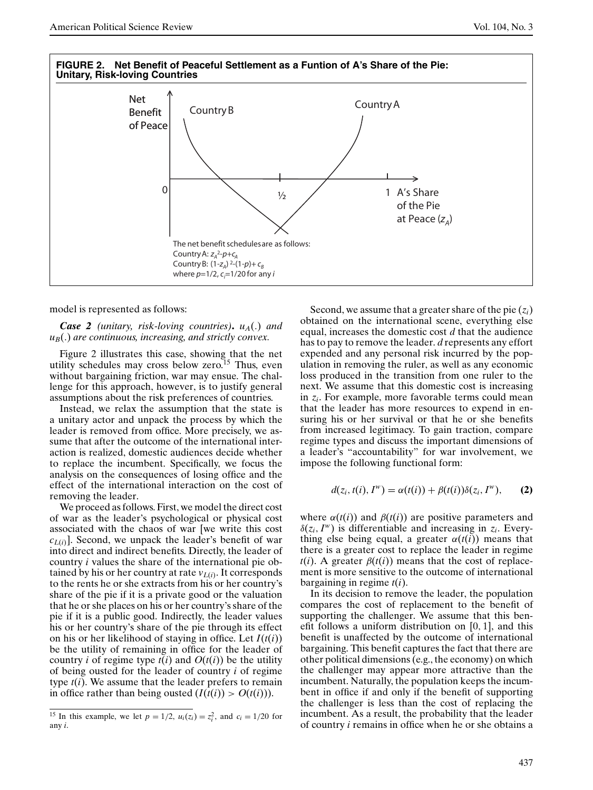

model is represented as follows:

*Case 2 (unitary, risk-loving countries)***.**  $u_A(.)$  and  $u_B(.)$  *are continuous, increasing, and strictly convex.* 

Figure 2 illustrates this case, showing that the net utility schedules may cross below zero.<sup>15</sup> Thus, even without bargaining friction, war may ensue. The challenge for this approach, however, is to justify general assumptions about the risk preferences of countries.

Instead, we relax the assumption that the state is a unitary actor and unpack the process by which the leader is removed from office. More precisely, we assume that after the outcome of the international interaction is realized, domestic audiences decide whether to replace the incumbent. Specifically, we focus the analysis on the consequences of losing office and the effect of the international interaction on the cost of removing the leader.

We proceed as follows. First, we model the direct cost of war as the leader's psychological or physical cost associated with the chaos of war [we write this cost  $c_{L(i)}$ ]. Second, we unpack the leader's benefit of war into direct and indirect benefits. Directly, the leader of country *i* values the share of the international pie obtained by his or her country at rate  $v_{L(i)}$ . It corresponds to the rents he or she extracts from his or her country's share of the pie if it is a private good or the valuation that he or she places on his or her country's share of the pie if it is a public good. Indirectly, the leader values his or her country's share of the pie through its effect on his or her likelihood of staying in office. Let *I*(*t*(*i*)) be the utility of remaining in office for the leader of country *i* of regime type  $t(i)$  and  $O(t(i))$  be the utility of being ousted for the leader of country *i* of regime type  $t(i)$ . We assume that the leader prefers to remain in office rather than being ousted  $(I(t(i)) > O(t(i)))$ .

Second, we assume that a greater share of the pie (*zi*) obtained on the international scene, everything else equal, increases the domestic cost *d* that the audience has to pay to remove the leader. *d* represents any effort expended and any personal risk incurred by the population in removing the ruler, as well as any economic loss produced in the transition from one ruler to the next. We assume that this domestic cost is increasing in *zi*. For example, more favorable terms could mean that the leader has more resources to expend in ensuring his or her survival or that he or she benefits from increased legitimacy. To gain traction, compare regime types and discuss the important dimensions of a leader's "accountability" for war involvement, we impose the following functional form:

$$
d(z_i, t(i), I^w) = \alpha(t(i)) + \beta(t(i))\delta(z_i, I^w), \qquad (2)
$$

where  $\alpha(t(i))$  and  $\beta(t(i))$  are positive parameters and  $\delta(z_i, I^w)$  is differentiable and increasing in  $z_i$ . Everything else being equal, a greater  $\alpha(t(i))$  means that there is a greater cost to replace the leader in regime  $t(i)$ . A greater  $\beta(t(i))$  means that the cost of replacement is more sensitive to the outcome of international bargaining in regime *t*(*i*).

In its decision to remove the leader, the population compares the cost of replacement to the benefit of supporting the challenger. We assume that this benefit follows a uniform distribution on [0*,* 1], and this benefit is unaffected by the outcome of international bargaining. This benefit captures the fact that there are other political dimensions (e.g., the economy) on which the challenger may appear more attractive than the incumbent. Naturally, the population keeps the incumbent in office if and only if the benefit of supporting the challenger is less than the cost of replacing the incumbent. As a result, the probability that the leader of country *i* remains in office when he or she obtains a

<sup>&</sup>lt;sup>15</sup> In this example, we let  $p = 1/2$ ,  $u_i(z_i) = z_i^2$ , and  $c_i = 1/20$  for any *i*.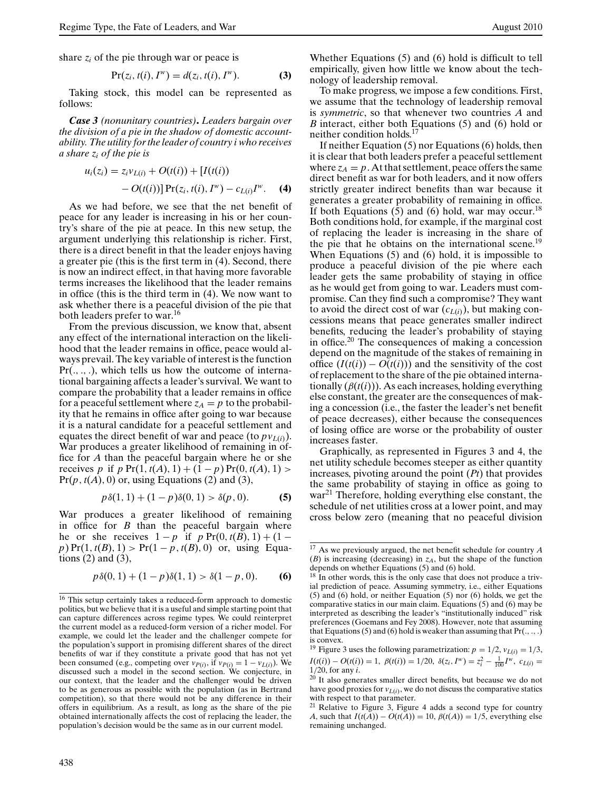share  $z_i$  of the pie through war or peace is

$$
Pr(z_i, t(i), I^w) = d(z_i, t(i), I^w).
$$
 (3)

Taking stock, this model can be represented as follows:

*Case 3 (nonunitary countries)***.** *Leaders bargain over the division of a pie in the shadow of domestic accountability. The utility for the leader of country i who receives a share zi of the pie is*

$$
u_i(z_i) = z_i v_{L(i)} + O(t(i)) + [I(t(i))- O(t(i))] Pr(z_i, t(i), Iw) - c_{L(i)}Iw.
$$
 (4)

As we had before, we see that the net benefit of peace for any leader is increasing in his or her country's share of the pie at peace. In this new setup, the argument underlying this relationship is richer. First, there is a direct benefit in that the leader enjoys having a greater pie (this is the first term in (4). Second, there is now an indirect effect, in that having more favorable terms increases the likelihood that the leader remains in office (this is the third term in (4). We now want to ask whether there is a peaceful division of the pie that both leaders prefer to war.<sup>16</sup>

From the previous discussion, we know that, absent any effect of the international interaction on the likelihood that the leader remains in office, peace would always prevail. The key variable of interest is the function Pr(*.,.,.*), which tells us how the outcome of international bargaining affects a leader's survival. We want to compare the probability that a leader remains in office for a peaceful settlement where  $z_A = p$  to the probability that he remains in office after going to war because it is a natural candidate for a peaceful settlement and equates the direct benefit of war and peace (to  $pv_{L(i)}$ ). War produces a greater likelihood of remaining in office for *A* than the peaceful bargain where he or she receives *p* if  $p \text{ Pr}(1, t(A), 1) + (1 - p) \text{ Pr}(0, t(A), 1)$  $Pr(p, t(A), 0)$  or, using Equations (2) and (3),

$$
p\,\delta(1,1) + (1-p)\,\delta(0,1) > \delta(p,0). \tag{5}
$$

War produces a greater likelihood of remaining in office for *B* than the peaceful bargain where he or she receives  $1 - p$  if  $p Pr(0, t(B), 1) + (1$  $p) \Pr(1, t(B), 1) > \Pr(1 - p, t(B), 0)$  or, using Equations  $(2)$  and  $(3)$ ,

$$
p\,\delta(0,1) + (1-p)\,\delta(1,1) > \delta(1-p,0). \tag{6}
$$

Whether Equations (5) and (6) hold is difficult to tell empirically, given how little we know about the technology of leadership removal.

To make progress, we impose a few conditions. First, we assume that the technology of leadership removal is *symmetric*, so that whenever two countries *A* and *B* interact, either both Equations (5) and (6) hold or neither condition holds.<sup>17</sup>

If neither Equation (5) nor Equations (6) holds, then it is clear that both leaders prefer a peaceful settlement where  $z_A = p$ . At that settlement, peace offers the same direct benefit as war for both leaders, and it now offers strictly greater indirect benefits than war because it generates a greater probability of remaining in office. If both Equations  $(5)$  and  $(6)$  hold, war may occur.<sup>18</sup> Both conditions hold, for example, if the marginal cost of replacing the leader is increasing in the share of the pie that he obtains on the international scene.<sup>19</sup> When Equations (5) and (6) hold, it is impossible to produce a peaceful division of the pie where each leader gets the same probability of staying in office as he would get from going to war. Leaders must compromise. Can they find such a compromise? They want to avoid the direct cost of war (*cL*(*i*)), but making concessions means that peace generates smaller indirect benefits, reducing the leader's probability of staying in office.<sup>20</sup> The consequences of making a concession depend on the magnitude of the stakes of remaining in office  $(I(t(i)) - O(t(i))$  and the sensitivity of the cost of replacement to the share of the pie obtained internationally  $(\beta(t(i)))$ . As each increases, holding everything else constant, the greater are the consequences of making a concession (i.e., the faster the leader's net benefit of peace decreases), either because the consequences of losing office are worse or the probability of ouster increases faster.

Graphically, as represented in Figures 3 and 4, the net utility schedule becomes steeper as either quantity increases, pivoting around the point (*Pt*) that provides the same probability of staying in office as going to war<sup>21</sup> Therefore, holding everything else constant, the schedule of net utilities cross at a lower point, and may cross below zero (meaning that no peaceful division

<sup>16</sup> This setup certainly takes a reduced-form approach to domestic politics, but we believe that it is a useful and simple starting point that can capture differences across regime types. We could reinterpret the current model as a reduced-form version of a richer model. For example, we could let the leader and the challenger compete for the population's support in promising different shares of the direct benefits of war if they constitute a private good that has not yet been consumed (e.g., competing over  $v_{P(i)}$ , if  $v_{P(i)} = 1 - v_{L(i)}$ ). We discussed such a model in the second section. We conjecture, in our context, that the leader and the challenger would be driven to be as generous as possible with the population (as in Bertrand competition), so that there would not be any difference in their offers in equilibrium. As a result, as long as the share of the pie obtained internationally affects the cost of replacing the leader, the population's decision would be the same as in our current model.

<sup>17</sup> As we previously argued, the net benefit schedule for country *A*  $(B)$  is increasing (decreasing) in  $z_A$ , but the shape of the function depends on whether Equations (5) and (6) hold.

<sup>&</sup>lt;sup>18</sup> In other words, this is the only case that does not produce a trivial prediction of peace. Assuming symmetry, i.e., either Equations (5) and (6) hold, or neither Equation (5) nor (6) holds, we get the comparative statics in our main claim. Equations (5) and (6) may be interpreted as describing the leader's "institutionally induced" risk preferences (Goemans and Fey 2008). However, note that assuming that Equations (5) and (6) hold is weaker than assuming that Pr(*.,.,.*) is convex.

<sup>&</sup>lt;sup>19</sup> Figure 3 uses the following parametrization:  $p = 1/2$ ,  $v_{L(i)} = 1/3$ ,  $I(t(i)) - O(t(i)) = 1$ ,  $\beta(t(i)) = 1/20$ ,  $\delta(z_i, I^w) = z_i^2 - \frac{1}{100}I^w$ ,  $c_{L(i)} =$ 

<sup>1</sup>*/*20, for any *i*. <sup>20</sup> It also generates smaller direct benefits, but because we do not have good proxies for  $v_{L(i)}$ , we do not discuss the comparative statics with respect to that parameter.

<sup>21</sup> Relative to Figure 3, Figure 4 adds a second type for country *A*, such that  $I(t(A)) - O(t(A)) = 10$ ,  $\beta(t(A)) = 1/5$ , everything else remaining unchanged.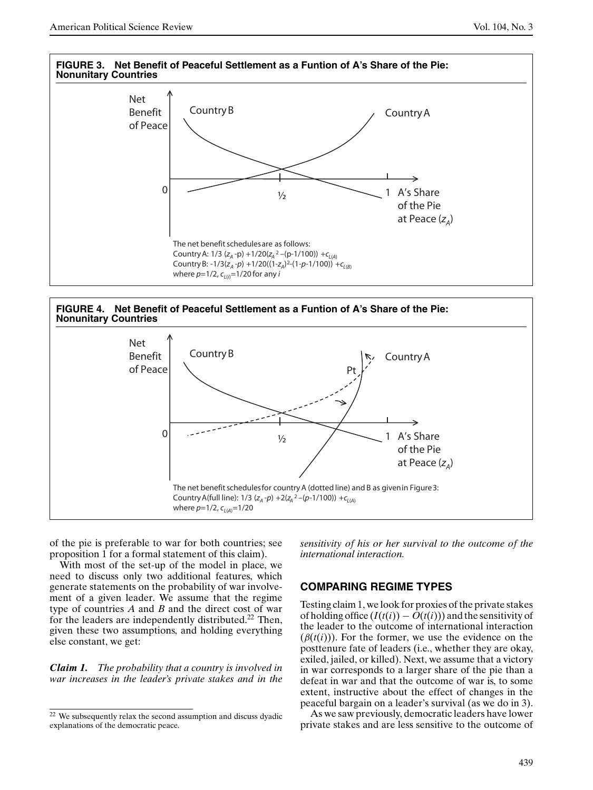





of the pie is preferable to war for both countries; see proposition 1 for a formal statement of this claim).

With most of the set-up of the model in place, we need to discuss only two additional features, which generate statements on the probability of war involvement of a given leader. We assume that the regime type of countries *A* and *B* and the direct cost of war for the leaders are independently distributed.<sup>22</sup> Then, given these two assumptions, and holding everything else constant, we get:

*Claim 1. The probability that a country is involved in war increases in the leader's private stakes and in the* *sensitivity of his or her survival to the outcome of the international interaction.*

# **COMPARING REGIME TYPES**

Testing claim 1, we look for proxies of the private stakes of holding office  $(I(t(i)) - O(t(i)))$  and the sensitivity of the leader to the outcome of international interaction  $(\beta(t(i)))$ . For the former, we use the evidence on the posttenure fate of leaders (i.e., whether they are okay, exiled, jailed, or killed). Next, we assume that a victory in war corresponds to a larger share of the pie than a defeat in war and that the outcome of war is, to some extent, instructive about the effect of changes in the peaceful bargain on a leader's survival (as we do in 3).

As we saw previously, democratic leaders have lower private stakes and are less sensitive to the outcome of

<sup>22</sup> We subsequently relax the second assumption and discuss dyadic explanations of the democratic peace.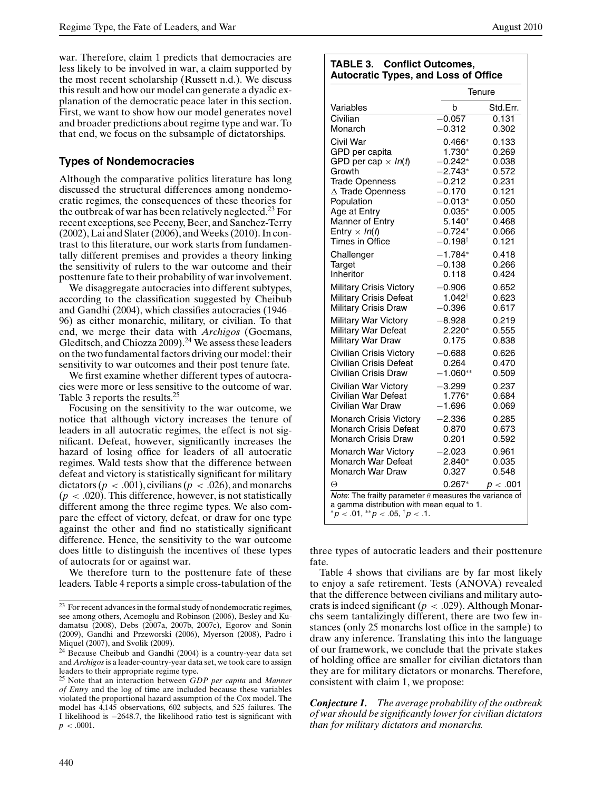war. Therefore, claim 1 predicts that democracies are less likely to be involved in war, a claim supported by the most recent scholarship (Russett n.d.). We discuss this result and how our model can generate a dyadic explanation of the democratic peace later in this section. First, we want to show how our model generates novel and broader predictions about regime type and war. To that end, we focus on the subsample of dictatorships.

# **Types of Nondemocracies**

Although the comparative politics literature has long discussed the structural differences among nondemocratic regimes, the consequences of these theories for the outbreak of war has been relatively neglected.<sup>23</sup> For recent exceptions, see Peceny, Beer, and Sanchez-Terry  $(2002)$ , Lai and Slater  $(2006)$ , and Weeks  $(2010)$ . In contrast to this literature, our work starts from fundamentally different premises and provides a theory linking the sensitivity of rulers to the war outcome and their posttenure fate to their probability of war involvement.

We disaggregate autocracies into different subtypes, according to the classification suggested by Cheibub and Gandhi (2004), which classifies autocracies (1946– 96) as either monarchic, military, or civilian. To that end, we merge their data with *Archigos* (Goemans, Gleditsch, and Chiozza 2009).<sup>24</sup> We assess these leaders on the two fundamental factors driving our model: their sensitivity to war outcomes and their post tenure fate.

We first examine whether different types of autocracies were more or less sensitive to the outcome of war. Table 3 reports the results.<sup>25</sup>

Focusing on the sensitivity to the war outcome, we notice that although victory increases the tenure of leaders in all autocratic regimes, the effect is not significant. Defeat, however, significantly increases the hazard of losing office for leaders of all autocratic regimes. Wald tests show that the difference between defeat and victory is statistically significant for military dictators ( $p < .001$ ), civilians ( $p < .026$ ), and monarchs  $(p < .020)$ . This difference, however, is not statistically different among the three regime types. We also compare the effect of victory, defeat, or draw for one type against the other and find no statistically significant difference. Hence, the sensitivity to the war outcome does little to distinguish the incentives of these types of autocrats for or against war.

We therefore turn to the posttenure fate of these leaders. Table 4 reports a simple cross-tabulation of the

| TABLE 3.<br><b>Conflict Outcomes,</b><br><b>Autocratic Types, and Loss of Office</b>                                                                                                      |                    |          |  |
|-------------------------------------------------------------------------------------------------------------------------------------------------------------------------------------------|--------------------|----------|--|
|                                                                                                                                                                                           |                    | Tenure   |  |
| Variables                                                                                                                                                                                 | b                  | Std.Err. |  |
| Civilian                                                                                                                                                                                  | $-0.057$           | 0.131    |  |
| Monarch                                                                                                                                                                                   | $-0.312$           | 0.302    |  |
| Civil War                                                                                                                                                                                 | $0.466*$           | 0.133    |  |
| GPD per capita                                                                                                                                                                            | 1.730*             | 0.269    |  |
| GPD per cap $\times ln(t)$                                                                                                                                                                | $-0.242*$          | 0.038    |  |
| Growth                                                                                                                                                                                    | $-2.743*$          | 0.572    |  |
| <b>Trade Openness</b>                                                                                                                                                                     | $-0.212$           | 0.231    |  |
| $\triangle$ Trade Openness                                                                                                                                                                | $-0.170$           | 0.121    |  |
| Population                                                                                                                                                                                | $-0.013*$          | 0.050    |  |
| Age at Entry                                                                                                                                                                              | $0.035*$           | 0.005    |  |
| Manner of Entry                                                                                                                                                                           | $5.140*$           | 0.468    |  |
| Entry $\times ln(t)$                                                                                                                                                                      | $-0.724*$          | 0.066    |  |
| Times in Office                                                                                                                                                                           | $-0.198^{\dagger}$ | 0.121    |  |
| Challenger                                                                                                                                                                                | $-1.784*$          | 0.418    |  |
| Target                                                                                                                                                                                    | $-0.138$           | 0.266    |  |
| Inheritor                                                                                                                                                                                 | 0.118              | 0.424    |  |
| Military Crisis Victory                                                                                                                                                                   | $-0.906$           | 0.652    |  |
| Military Crisis Defeat                                                                                                                                                                    | $1.042^{\dagger}$  | 0.623    |  |
| Military Crisis Draw                                                                                                                                                                      | $-0.396$           | 0.617    |  |
| Military War Victory                                                                                                                                                                      | $-8.928$           | 0.219    |  |
| Military War Defeat                                                                                                                                                                       | $2.220*$           | 0.555    |  |
| Military War Draw                                                                                                                                                                         | 0.175              | 0.838    |  |
| Civilian Crisis Victory                                                                                                                                                                   | $-0.688$           | 0.626    |  |
| Civilian Crisis Defeat                                                                                                                                                                    | 0.264              | 0.470    |  |
| Civilian Crisis Draw                                                                                                                                                                      | $-1.060**$         | 0.509    |  |
| Civilian War Victory                                                                                                                                                                      | $-3.299$           | 0.237    |  |
| Civilian War Defeat                                                                                                                                                                       | 1.776*             | 0.684    |  |
| Civilian War Draw                                                                                                                                                                         | $-1.696$           | 0.069    |  |
| Monarch Crisis Victory                                                                                                                                                                    | $-2.336$           | 0.285    |  |
| Monarch Crisis Defeat                                                                                                                                                                     | 0.870              | 0.673    |  |
| <b>Monarch Crisis Draw</b>                                                                                                                                                                | 0.201              | 0.592    |  |
| Monarch War Victorv                                                                                                                                                                       | $-2.023$           | 0.961    |  |
| Monarch War Defeat                                                                                                                                                                        | 2.840*             | 0.035    |  |
| Monarch War Draw                                                                                                                                                                          | 0.327              | 0.548    |  |
| $0.267*$<br>p < .001<br>Θ<br>Note: The frailty parameter $\theta$ measures the variance of<br>a gamma distribution with mean equal to 1.<br>* $p < .01,$ ** $p < .05,$ $\dagger p < .1$ . |                    |          |  |

three types of autocratic leaders and their posttenure fate.

Table 4 shows that civilians are by far most likely to enjoy a safe retirement. Tests (ANOVA) revealed that the difference between civilians and military autocrats is indeed significant (*p < .*029). Although Monarchs seem tantalizingly different, there are two few instances (only 25 monarchs lost office in the sample) to draw any inference. Translating this into the language of our framework, we conclude that the private stakes of holding office are smaller for civilian dictators than they are for military dictators or monarchs. Therefore, consistent with claim 1, we propose:

*Conjecture 1. The average probability of the outbreak of war should be significantly lower for civilian dictators than for military dictators and monarchs.*

<sup>&</sup>lt;sup>23</sup> For recent advances in the formal study of nondemocratic regimes, see among others, Acemoglu and Robinson (2006), Besley and Kudamatsu (2008), Debs (2007a, 2007b, 2007c), Egorov and Sonin (2009), Gandhi and Przeworski (2006), Myerson (2008), Padro i Miquel (2007), and Svolik (2009).

<sup>24</sup> Because Cheibub and Gandhi (2004) is a country-year data set and *Archigos* is a leader-country-year data set, we took care to assign leaders to their appropriate regime type.

<sup>25</sup> Note that an interaction between *GDP per capita* and *Manner of Entry* and the log of time are included because these variables violated the proportional hazard assumption of the Cox model. The model has 4,145 observations, 602 subjects, and 525 failures. The I likelihood is −2648*.*7, the likelihood ratio test is significant with  $p < .0001$ .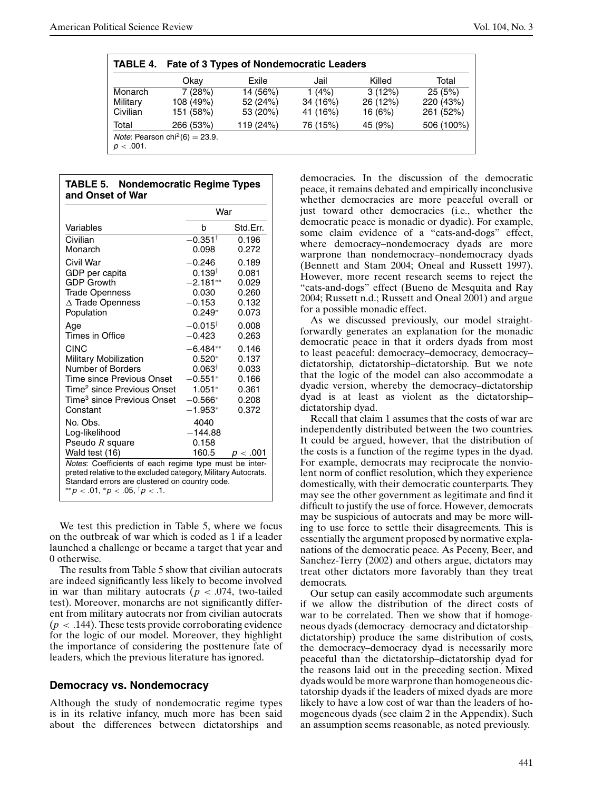| TABLE 4.                        | <b>Fate of 3 Types of Nondemocratic Leaders</b>                |                                  |                               |                               |                                  |
|---------------------------------|----------------------------------------------------------------|----------------------------------|-------------------------------|-------------------------------|----------------------------------|
|                                 | Okay                                                           | Exile                            | Jail                          | Killed                        | Total                            |
| Monarch<br>Military<br>Civilian | 7(28%)<br>108 (49%)<br>151 (58%)                               | 14 (56%)<br>52 (24%)<br>53 (20%) | 1(4%)<br>34 (16%)<br>41 (16%) | 3(12%)<br>26 (12%)<br>16 (6%) | 25(5%)<br>220 (43%)<br>261 (52%) |
| Total<br>$p < .001$ .           | 266 (53%)<br><i>Note:</i> Pearson chi <sup>2</sup> (6) = 23.9. | 119 (24%)                        | 76 (15%)                      | 45 (9%)                       | 506 (100%)                       |

| <b>TABLE 5. Nondemocratic Regime Types</b><br>and Onset of War                                                                                                                                                                                                                                                                                            |                    |          |  |
|-----------------------------------------------------------------------------------------------------------------------------------------------------------------------------------------------------------------------------------------------------------------------------------------------------------------------------------------------------------|--------------------|----------|--|
|                                                                                                                                                                                                                                                                                                                                                           | War                |          |  |
| Variables                                                                                                                                                                                                                                                                                                                                                 | b                  | Std.Err. |  |
| Civilian                                                                                                                                                                                                                                                                                                                                                  | $-0.351^{\dagger}$ | 0.196    |  |
| Monarch                                                                                                                                                                                                                                                                                                                                                   | 0.098              | 0.272    |  |
| Civil War                                                                                                                                                                                                                                                                                                                                                 | $-0.246$           | 0.189    |  |
| GDP per capita                                                                                                                                                                                                                                                                                                                                            | $0.139^{\dagger}$  | 0.081    |  |
| <b>GDP Growth</b>                                                                                                                                                                                                                                                                                                                                         | $-2.181**$         | 0.029    |  |
| <b>Trade Openness</b>                                                                                                                                                                                                                                                                                                                                     | 0.030              | 0.260    |  |
| $\triangle$ Trade Openness                                                                                                                                                                                                                                                                                                                                | $-0.153$           | 0.132    |  |
| Population                                                                                                                                                                                                                                                                                                                                                | $0.249*$           | 0.073    |  |
| Age                                                                                                                                                                                                                                                                                                                                                       | $-0.015^{\dagger}$ | 0.008    |  |
| Times in Office                                                                                                                                                                                                                                                                                                                                           | $-0.423$           | 0.263    |  |
| <b>CINC</b>                                                                                                                                                                                                                                                                                                                                               | $-6.484**$         | 0.146    |  |
| Military Mobilization                                                                                                                                                                                                                                                                                                                                     | $0.520*$           | 0.137    |  |
| Number of Borders                                                                                                                                                                                                                                                                                                                                         | $0.063^{\dagger}$  | 0.033    |  |
| Time since Previous Onset                                                                                                                                                                                                                                                                                                                                 | $-0.551*$          | 0.166    |  |
| Time <sup>2</sup> since Previous Onset                                                                                                                                                                                                                                                                                                                    | $1.051*$           | 0.361    |  |
| Time <sup>3</sup> since Previous Onset                                                                                                                                                                                                                                                                                                                    | $-0.566*$          | 0.208    |  |
| Constant                                                                                                                                                                                                                                                                                                                                                  | $-1.953*$          | 0.372    |  |
| No. Obs.<br>4040<br>Log-likelihood<br>$-144.88$<br>Pseudo $R$ square<br>0.158<br>Wald test (16)<br>160.5<br>p < .001<br>Notes: Coefficients of each regime type must be inter-<br>preted relative to the excluded category, Military Autocrats.<br>Standard errors are clustered on country code.<br>** $p < .01$ , * $p < .05$ , <sup>†</sup> $p < .1$ . |                    |          |  |

We test this prediction in Table 5, where we focus on the outbreak of war which is coded as 1 if a leader launched a challenge or became a target that year and 0 otherwise.

The results from Table 5 show that civilian autocrats are indeed significantly less likely to become involved in war than military autocrats ( $p < .074$ , two-tailed test). Moreover, monarchs are not significantly different from military autocrats nor from civilian autocrats  $(p < .144)$ . These tests provide corroborating evidence for the logic of our model. Moreover, they highlight the importance of considering the posttenure fate of leaders, which the previous literature has ignored.

#### **Democracy vs. Nondemocracy**

Although the study of nondemocratic regime types is in its relative infancy, much more has been said about the differences between dictatorships and democracies. In the discussion of the democratic peace, it remains debated and empirically inconclusive whether democracies are more peaceful overall or just toward other democracies (i.e., whether the democratic peace is monadic or dyadic). For example, some claim evidence of a "cats-and-dogs" effect, where democracy–nondemocracy dyads are more warprone than nondemocracy–nondemocracy dyads (Bennett and Stam 2004; Oneal and Russett 1997). However, more recent research seems to reject the "cats-and-dogs" effect (Bueno de Mesquita and Ray 2004; Russett n.d.; Russett and Oneal 2001) and argue for a possible monadic effect.

As we discussed previously, our model straightforwardly generates an explanation for the monadic democratic peace in that it orders dyads from most to least peaceful: democracy–democracy, democracy– dictatorship, dictatorship–dictatorship. But we note that the logic of the model can also accommodate a dyadic version, whereby the democracy–dictatorship dyad is at least as violent as the dictatorship– dictatorship dyad.

Recall that claim 1 assumes that the costs of war are independently distributed between the two countries. It could be argued, however, that the distribution of the costs is a function of the regime types in the dyad. For example, democrats may reciprocate the nonviolent norm of conflict resolution, which they experience domestically, with their democratic counterparts. They may see the other government as legitimate and find it difficult to justify the use of force. However, democrats may be suspicious of autocrats and may be more willing to use force to settle their disagreements. This is essentially the argument proposed by normative explanations of the democratic peace. As Peceny, Beer, and Sanchez-Terry (2002) and others argue, dictators may treat other dictators more favorably than they treat democrats.

Our setup can easily accommodate such arguments if we allow the distribution of the direct costs of war to be correlated. Then we show that if homogeneous dyads (democracy–democracy and dictatorship– dictatorship) produce the same distribution of costs, the democracy–democracy dyad is necessarily more peaceful than the dictatorship–dictatorship dyad for the reasons laid out in the preceding section. Mixed dyads would be more warprone than homogeneous dictatorship dyads if the leaders of mixed dyads are more likely to have a low cost of war than the leaders of homogeneous dyads (see claim 2 in the Appendix). Such an assumption seems reasonable, as noted previously.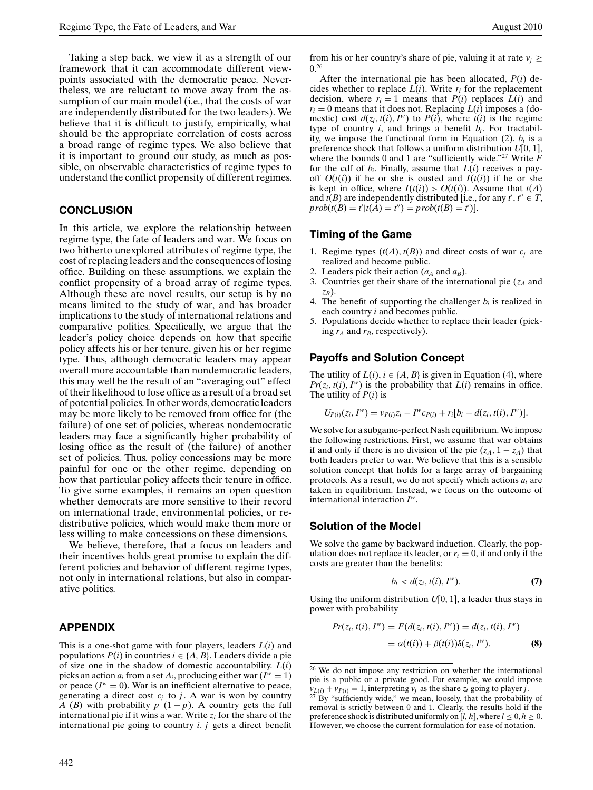Taking a step back, we view it as a strength of our framework that it can accommodate different viewpoints associated with the democratic peace. Nevertheless, we are reluctant to move away from the assumption of our main model (i.e., that the costs of war are independently distributed for the two leaders). We believe that it is difficult to justify, empirically, what should be the appropriate correlation of costs across a broad range of regime types. We also believe that it is important to ground our study, as much as possible, on observable characteristics of regime types to understand the conflict propensity of different regimes.

#### **CONCLUSION**

In this article, we explore the relationship between regime type, the fate of leaders and war. We focus on two hitherto unexplored attributes of regime type, the cost of replacing leaders and the consequences of losing office. Building on these assumptions, we explain the conflict propensity of a broad array of regime types. Although these are novel results, our setup is by no means limited to the study of war, and has broader implications to the study of international relations and comparative politics. Specifically, we argue that the leader's policy choice depends on how that specific policy affects his or her tenure, given his or her regime type. Thus, although democratic leaders may appear overall more accountable than nondemocratic leaders, this may well be the result of an "averaging out" effect of their likelihood to lose office as a result of a broad set of potential policies. In other words, democratic leaders may be more likely to be removed from office for (the failure) of one set of policies, whereas nondemocratic leaders may face a significantly higher probability of losing office as the result of (the failure) of another set of policies. Thus, policy concessions may be more painful for one or the other regime, depending on how that particular policy affects their tenure in office. To give some examples, it remains an open question whether democrats are more sensitive to their record on international trade, environmental policies, or redistributive policies, which would make them more or less willing to make concessions on these dimensions.

We believe, therefore, that a focus on leaders and their incentives holds great promise to explain the different policies and behavior of different regime types, not only in international relations, but also in comparative politics.

### **APPENDIX**

This is a one-shot game with four players, leaders *L*(*i*) and populations  $P(i)$  in countries  $i \in \{A, B\}$ . Leaders divide a pie of size one in the shadow of domestic accountability. *L*(*i*) picks an action  $a_i$  from a set  $A_i$ , producing either war  $(I^w = 1)$ or peace  $(I^w = 0)$ . War is an inefficient alternative to peace, generating a direct cost  $c_j$  to  $j$ . A war is won by country *A* (*B*) with probability  $p(1-p)$ . A country gets the full international pie if it wins a war. Write  $z_i$  for the share of the international pie going to country *i*. *j* gets a direct benefit from his or her country's share of pie, valuing it at rate  $v_i$ 0.26

After the international pie has been allocated, *P*(*i*) decides whether to replace  $L(i)$ . Write  $r_i$  for the replacement decision, where  $r_i = 1$  means that  $P(i)$  replaces  $L(i)$  and  $r_i = 0$  means that it does not. Replacing  $L(i)$  imposes a (domestic) cost  $d(z_i, t(i), I^w)$  to  $P(i)$ , where  $t(i)$  is the regime type of country *i*, and brings a benefit *bi*. For tractability, we impose the functional form in Equation  $(2)$ .  $b_i$  is a preference shock that follows a uniform distribution *U*[0*,* 1], where the bounds 0 and 1 are "sufficiently wide."<sup>27</sup> Write  $\overline{F}$ for the cdf of  $b_i$ . Finally, assume that  $L(i)$  receives a payoff  $O(t(i))$  if he or she is ousted and  $I(t(i))$  if he or she is kept in office, where  $I(t(i)) > O(t(i))$ . Assume that  $t(A)$ and  $\hat{t}(B)$  are independently distributed [i.e., for any  $t'$ ,  $t'' \in T$ ,  $prob(t(B) = t'|t(\tilde{A}) = t'') = prob(t(B) = t')].$ 

### **Timing of the Game**

- 1. Regime types  $(t(A), t(B))$  and direct costs of war  $c_i$  are realized and become public.
- 2. Leaders pick their action  $(a<sub>A</sub>$  and  $a<sub>B</sub>)$ .
- 3. Countries get their share of the international pie  $(z_A \text{ and } z_B)$ *zB*).
- 4. The benefit of supporting the challenger  $b_i$  is realized in each country *i* and becomes public.
- 5. Populations decide whether to replace their leader (picking  $r_A$  and  $r_B$ , respectively).

#### **Payoffs and Solution Concept**

The utility of  $L(i)$ ,  $i \in \{A, B\}$  is given in Equation (4), where  $Pr(z_i, t(i), I^w)$  is the probability that  $L(i)$  remains in office. The utility of  $P(i)$  is

$$
U_{P(i)}(z_i, I^w) = v_{P(i)}z_i - I^w c_{P(i)} + r_i[b_i - d(z_i, t(i), I^w)].
$$

We solve for a subgame-perfect Nash equilibrium. We impose the following restrictions. First, we assume that war obtains if and only if there is no division of the pie  $(z_A, 1 - z_A)$  that both leaders prefer to war. We believe that this is a sensible solution concept that holds for a large array of bargaining protocols. As a result, we do not specify which actions *ai* are taken in equilibrium. Instead, we focus on the outcome of international interaction *I<sup>w</sup>*.

#### **Solution of the Model**

We solve the game by backward induction. Clearly, the population does not replace its leader, or  $r_i = 0$ , if and only if the costs are greater than the benefits:

$$
b_i < d(z_i, t(i), I^w). \tag{7}
$$

Using the uniform distribution *U*[0*,* 1], a leader thus stays in power with probability

$$
Pr(z_i, t(i), I^w) = F(d(z_i, t(i), I^w)) = d(z_i, t(i), I^w)
$$
  
=  $\alpha(t(i)) + \beta(t(i))\delta(z_i, I^w)$ . (8)

<sup>26</sup> We do not impose any restriction on whether the international pie is a public or a private good. For example, we could impose

 $v_{L(i)} + v_{P(i)} = 1$ , interpreting  $v_j$  as the share  $z_i$  going to player *j*. <sup>27</sup> By "sufficiently wide," we mean, loosely, that the probability of removal is strictly between 0 and 1. Clearly, the results hold if the preference shock is distributed uniformly on [*l*, *h*], where  $l \leq 0, h \geq 0$ . However, we choose the current formulation for ease of notation.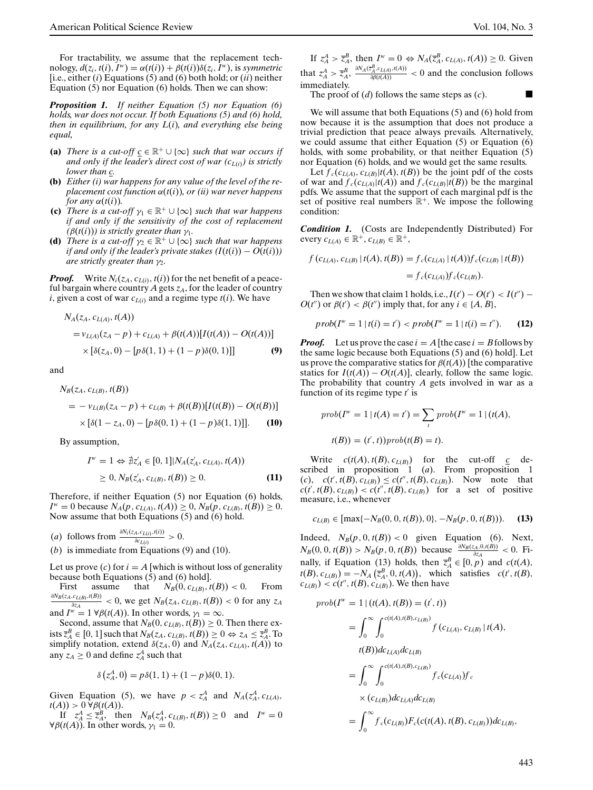For tractability, we assume that the replacement technology,  $d(z_i, t(i), I^w) = \alpha(t(i)) + \beta(t(i))\delta(z_i, I^w)$ , is *symmetric* [i.e., either (*i*) Equations (5) and (6) both hold; or (*ii*) neither Equation (5) nor Equation (6) holds. Then we can show:

*Proposition 1. If neither Equation (5) nor Equation (6) holds, war does not occur. If both Equations (5) and (6) hold, then in equilibrium, for any L*(*i*)*, and everything else being equal,*

- **(a)** *There is a cut-off*  $\underline{c} \in \mathbb{R}^+ \cup \{\infty\}$  *such that war occurs if and only if the leader's direct cost of war*  $(c_{L(i)})$  *is strictly lower than c.*
- **(b)** *Either (i) war happens for any value of the level of the replacement cost function α*(*t*(*i*))*, or (ii) war never happens for any*  $\alpha(t(i))$ *.*
- **(c)** *There is a cut-off*  $\gamma_1 \in \mathbb{R}^+ \cup \{\infty\}$  *such that war happens if and only if the sensitivity of the cost of replacement*  $(\beta(t(i)))$  *is strictly greater than*  $\gamma_1$ *.*
- **(d)** *There is a cut-off*  $\gamma_2 \in \mathbb{R}^+ \cup \{\infty\}$  *such that war happens if and only if the leader's private stakes*  $(I(t(i)) - O(t(i)))$ *are strictly greater than γ*2*.*

*Proof.* Write  $N_i(z_A, c_{L(i)}, t(i))$  for the net benefit of a peaceful bargain where country  $A$  gets  $z_A$ , for the leader of country *i*, given a cost of war  $c_{L(i)}$  and a regime type  $t(i)$ . We have

$$
N_A(z_A, c_{L(A)}, t(A))
$$
  
=  $v_{L(A)}(z_A - p) + c_{L(A)} + \beta(t(A))[I(t(A)) - O(t(A))]$   
 $\times [\delta(z_A, 0) - [p\delta(1, 1) + (1 - p)\delta(0, 1)]]$  (9)

and

$$
N_B(z_A, c_{L(B)}, t(B))
$$
  
=  $-v_{L(B)}(z_A - p) + c_{L(B)} + \beta(t(B))[I(t(B)) - O(t(B))]$   
 $\times [\delta(1 - z_A, 0) - [p\delta(0, 1) + (1 - p)\delta(1, 1)]].$  (10)

By assumption,

$$
I^w = 1 \Leftrightarrow \nexists z'_A \in [0, 1]|N_A(z'_A, c_{L(A)}, t(A))
$$
  
\n
$$
\geq 0, N_B(z'_A, c_{L(B)}, t(B)) \geq 0.
$$
 (11)

Therefore, if neither Equation (5) nor Equation (6) holds,  $I^w = 0$  because  $N_A(p, c_{L(A)}, t(A)) \geq 0, N_B(p, c_{L(B)}, t(B)) \geq 0.$ Now assume that both Equations  $(5)$  and  $(6)$  hold.

 $(a)$  follows from  $\frac{\partial N_i(z_A, c_{L(i)}, t(i))}{\partial c_{L(i)}} > 0.$ 

(*b*) is immediate from Equations (9) and (10).

Let us prove  $(c)$  for  $i = A$  [which is without loss of generality because both Equations (5) and (6) hold].

First assume that  $N_B(0, c_{L(B)}, t(B)) < 0$ . From *∂NB*(*zA*, *c<sub>L</sub>*(*B*)*, t*(*B*)) *z*<sub>*A*</sub>  $\frac{\partial \chi_B(z_A, c_{L(B)}, t(B))}{\partial z_A}$  *z*<sub>*A*</sub>

and  $I^w = 1 \forall \beta(t(A))$ . In other words,  $\gamma_1 = \infty$ . Second, assume that  $N_B(0, c_{L(B)}, t(B)) \ge 0$ . Then there ex-

ists  $\overline{z}_A^B \in [0, 1]$  such that  $N_B(z_A, c_{L(B)}, t(B)) \ge 0 \Leftrightarrow z_A \le \overline{z}_A^B$ . To simplify notation, extend  $\delta(z_A, 0)$  and  $N_A(z_A, c_{L(A)}, t(A))$  to any  $z_A \geq 0$  and define  $z_A^A$  such that

$$
\delta(z_A^A, 0) = p\delta(1, 1) + (1 - p)\delta(0, 1).
$$

Given Equation (5), we have  $p < z_A^A$  and  $N_A(z_A^A, c_{L(A)},$  $t(A)$ ) > 0  $\forall \beta(t(A))$ .

If  $z_A^A \leq \overline{z}_A^B$ , then  $N_B(z_A^A, c_{L(B)}, t(B)) \geq 0$  and  $I^w = 0$  $\forall \beta(t(A))$ . In other words,  $\gamma_1 = 0$ .

If  $z_A^A > \overline{z}_A^B$ , then  $I^w = 0 \Leftrightarrow N_A(\overline{z}_A^B, c_{L(A)}, t(A)) \ge 0$ . Given that  $z_A^A > \overline{z}_A^B$ ,  $\frac{\partial N_A(\overline{z}_A^B, c_{L(A)}, t(A))}{\partial \beta(t(A))} < 0$  and the conclusion follows immediately.

The proof of (*d*) follows the same steps as (*c*).

We will assume that both Equations (5) and (6) hold from now because it is the assumption that does not produce a trivial prediction that peace always prevails. Alternatively, we could assume that either Equation (5) or Equation (6) holds, with some probability, or that neither Equation (5) nor Equation (6) holds, and we would get the same results.

Let  $f_c(c_{L(A)}, c_{L(B)} | t(A), t(B))$  be the joint pdf of the costs of war and  $f_c(c_{L(A)}|t(A))$  and  $f_c(c_{L(B)}|t(B))$  be the marginal pdfs. We assume that the support of each marginal pdf is the set of positive real numbers  $\mathbb{R}^+$ . We impose the following condition:

*Condition 1.* (Costs are Independently Distributed) For *every*  $c_{L(A)}$  ∈  $\mathbb{R}^+$ ,  $c_{L(B)}$  ∈  $\mathbb{R}^+$ ,

$$
f(c_{L(A)}, c_{L(B)} | t(A), t(B)) = f_c(c_{L(A)} | t(A)) f_c(c_{L(B)} | t(B))
$$
  
=  $f_c(c_{L(A)}) f_c(c_{L(B)})$ .

Then we show that claim 1 holds, i.e.,  $I(t') - O(t') < I(t'')$  – *O*(*t''*) or  $\beta$ (*t'*) <  $\beta$ (*t''*) imply that, for any *i*  $\in$  {*A, B*},

$$
prob(Iw = 1 | t(i) = t') < prob(Iw = 1 | t(i) = t'').
$$
 (12)

*Proof.* Let us prove the case  $i = A$  [the case  $i = B$  follows by the same logic because both Equations (5) and (6) hold]. Let us prove the comparative statics for  $\beta(t(A))$  [the comparative statics for  $I(t(A)) - O(t(A))$ , clearly, follow the same logic. The probability that country *A* gets involved in war as a function of its regime type *t* is

$$
prob(Iw = 1 | t(A) = t') = \sum_{t} prob(Iw = 1 | (t(A),
$$

$$
t(B)) = (t', t) prob(t(B) = t).
$$

Write  $c(t(A), t(B), c_{L(B)})$  for the cut-off  $c$  described in proposition 1 (*a*). From proposition 1  $(c),$   $c(t', t(B), c_{L(B)}) \leq c(t'', t(B), c_{L(B)}).$  Now note that  $c(t', t(B), c_{L(B)}) < c(t'', t(B), c_{L(B)})$  for a set of positive measure, i.e., whenever

$$
c_{L(B)} \in [\max\{-N_B(0, 0, t(B)), 0\}, -N_B(p, 0, t(B))).
$$
 (13)

Indeed,  $N_B(p, 0, t(B)) < 0$  given Equation (6). Next,  $N_B(0, 0, t(B)) > N_B(p, 0, t(B))$  because  $\frac{\partial N_B(z_A, 0, t(B))}{\partial z_A} < 0$ . Finally, if Equation (13) holds, then  $\overline{z}_A^B \in [0, p)$  and  $c(t(A))$ ,  $t(B), c_{L(B)} = -N_A(\bar{z}_A^B, 0, t(A)),$  which satisfies  $c(t', t(B)),$  $c_{L(B)}$ ) *< c*(*t''*, *t*(*B*)*, c*<sub>*L*(*B*)</sub>). We then have

$$
prob(I^{w} = 1 | (t(A), t(B)) = (t', t))
$$
  
= 
$$
\int_{0}^{\infty} \int_{0}^{c(t(A), t(B), c_{L(B)})} f(c_{L(A)}, c_{L(B)} | t(A),
$$
  

$$
t(B))dc_{L(A)}dc_{L(B)}
$$
  
= 
$$
\int_{0}^{\infty} \int_{0}^{c(t(A), t(B), c_{L(B)})} f_c(c_{L(A)}) f_c
$$
  

$$
\times (c_{L(B)})dc_{L(A)}dc_{L(B)}
$$
  
= 
$$
\int_{0}^{\infty} f_c(c_{L(B)})F_c(c(t(A), t(B), c_{L(B)}))dc_{L(B)},
$$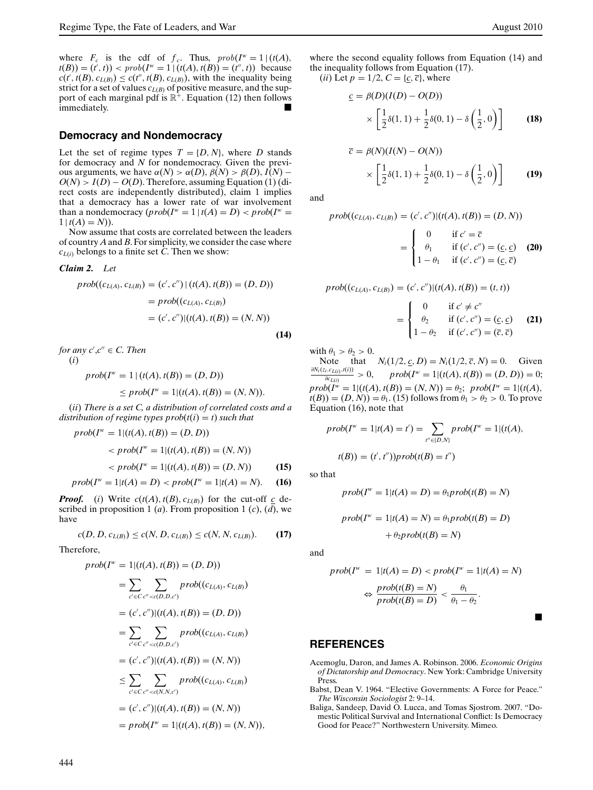where  $F_c$  is the cdf of  $f_c$ . Thus,  $prob(I^w = 1 | (t(A)),$  $t(B) = (t', t)$  *< prob* $(I^w = 1 | (t(A), t(B)) = (t'', t)$  because  $c(t', t(B), c_{L(B)}) \leq c(t'', t(B), c_{L(B)})$ , with the inequality being strict for a set of values  $c_{L(B)}$  of positive measure, and the support of each marginal pdf is  $\mathbb{R}^+$ . Equation (12) then follows immediately.

#### **Democracy and Nondemocracy**

Let the set of regime types  $T = \{D, N\}$ , where *D* stands for democracy and *N* for nondemocracy. Given the previous arguments, we have  $α(N) > α(D)$ ,  $β(N) > β(D)$ ,  $I(N) O(N) > I(D) - O(D)$ . Therefore, assuming Equation (1) (direct costs are independently distributed), claim 1 implies that a democracy has a lower rate of war involvement than a nondemocracy  $(prob(I^w = 1 | t(A) = D) < prob(I^w = D)$  $1 | t(A) = N$ ).

Now assume that costs are correlated between the leaders of country *A*and *B*. For simplicity, we consider the case where  $c_{L(i)}$  belongs to a finite set *C*. Then we show:

*Claim 2. Let*

$$
prob((c_{L(A)}, c_{L(B)}) = (c', c'') | (t(A), t(B)) = (D, D))
$$
  
= 
$$
prob((c_{L(A)}, c_{L(B)})
$$
  
= 
$$
(c', c'') | (t(A), t(B)) = (N, N))
$$

**(14)**

*for any*  $c'$ , $c'' \in C$ . *Then* (*i*)

> $prob(I^w = 1 | (t(A), t(B)) = (D, D))$  $\leq$  *prob*( $I^w = 1$ |( $t(A)$ ,  $t(B)$ ) = (*N*, *N*)).

(*ii*) *There is a set C, a distribution of correlated costs and a distribution of regime types*  $prob(t(i) = t)$  *such that* 

$$
prob(Iw = 1 | (t(A), t(B)) = (D, D))
$$
  

$$
< prob(Iw = 1 | (t(A), t(B)) = (N, N))
$$
  

$$
< prob(Iw = 1 | (t(A), t(B)) = (D, N))
$$
  
**(15)**  

$$
prob(Iw = 1 | t(A) = D) < prob(Iw = 1 | t(A) = N).
$$
 (16)

*Proof.* (*i*) Write  $c(t(A), t(B), c_{L(B)})$  for the cut-off  $c$  described in proposition 1 (*a*). From proposition 1 (*c*),  $(\overline{d})$ , we have

$$
c(D, D, c_{L(B)}) \le c(N, D, c_{L(B)}) \le c(N, N, c_{L(B)}).
$$
 (17)

Therefore,

$$
prob(I^{w} = 1 | (t(A), t(B)) = (D, D))
$$
  
\n
$$
= \sum_{c' \in C} \sum_{c'' < c(D, D, c')} prob((c_{L(A)}, c_{L(B)})
$$
  
\n
$$
= (c', c'') | (t(A), t(B)) = (D, D))
$$
  
\n
$$
= \sum_{c' \in C} \sum_{c'' < c(D, D, c')} prob((c_{L(A)}, c_{L(B)})
$$
  
\n
$$
= (c', c'') | (t(A), t(B)) = (N, N))
$$
  
\n
$$
\leq \sum_{c' \in C} \sum_{c'' < c(N, N, c')} prob((c_{L(A)}, c_{L(B)})
$$
  
\n
$$
= (c', c'') | (t(A), t(B)) = (N, N))
$$
  
\n
$$
= prob(I^{w} = 1 | (t(A), t(B)) = (N, N)),
$$

where the second equality follows from Equation (14) and the inequality follows from Equation (17).

(*ii*) Let  $p = 1/2$ ,  $C = \{c, \overline{c}\}\text{, where}$  $c = \beta(D)(I(D) - O(D))$ 

$$
\times \left[\frac{1}{2}\delta(1,1) + \frac{1}{2}\delta(0,1) - \delta\left(\frac{1}{2},0\right)\right]
$$
 (18)

$$
\overline{c} = \beta(N)(I(N) - O(N))
$$
  
 
$$
\times \left[\frac{1}{2}\delta(1, 1) + \frac{1}{2}\delta(0, 1) - \delta\left(\frac{1}{2}, 0\right)\right]
$$
 (19)

and

$$
prob((c_{L(A)}, c_{L(B)}) = (c', c'')|(t(A), t(B)) = (D, N))
$$
  
\n
$$
\begin{cases}\n0 & \text{if } c' = \overline{c}\n\end{cases}
$$

$$
= \begin{cases} \theta_1 & \text{if } (c', c'') = (c, c) \\ 1 - \theta_1 & \text{if } (c', c'') = (c, \bar{c}) \end{cases}
$$
 (20)

 $prob((c_{L(A)}, c_{L(B)}) = (c', c'')|(t(A), t(B)) = (t, t))$ 

$$
= \begin{cases} 0 & \text{if } c' \neq c'' \\ \theta_2 & \text{if } (c', c'') = (c, c) \\ 1 - \theta_2 & \text{if } (c', c'') = (\overline{c}, \overline{c}) \end{cases}
$$
 (21)

with  $\theta_1 > \theta_2 > 0$ .

Note that  $N_i(1/2, \underline{c}, D) = N_i(1/2, \overline{c}, N) = 0$ . Given  $\frac{\partial N_i(z_i, c_{L(i)}, t(i))}{\partial t} > 0,$  $\frac{\partial}{\partial c} L(i)}$  > 0,  $prob(I^w = 1 | (t(A), t(B)) = (D, D)) = 0;$  $prob(I^w = 1 | (t(A), t(B)) = (N, N)) = \theta_2$ ;  $prob(I^w = 1 | (t(A), t(B)) = \theta_1$ ;  $prob(I^w = 1 | (t(A), t(B)) = \theta_2$ ;  $prob(I^w = 1 | (t(A), t(B)) = \theta_1$ ;  $prob(I^w = 1 | (t(A), t(B)) = \theta_2$ ;  $prob(I^w = 1 | (t(A), t(B)) = \theta_1$ ;  $prob(I^w = 1 | (t(A), t(B)) = \theta_2$ ;  $prob(I^w = 1 | (t(A), t(B)) = \theta_1$ ;  $prob(I^w = 1 | (t(A), t(B)) = \theta_2$ ;  $t(B) = (D, N) = \theta_1$ . (15) follows from  $\theta_1 > \theta_2 > 0$ . To prove Equation (16), note that

$$
prob(I^w = 1 | t(A) = t') = \sum_{t'' \in [D,N]} prob(I^w = 1 | (t(A), t(B)) = (t', t'')) prob(t(B) = t'')
$$

so that

$$
prob(I^w = 1 | t(A) = D) = \theta_1 prob(t(B) = N)
$$

$$
prob(Iw = 1 | t(A) = N) = \theta_1 prob(t(B) = D)
$$

$$
+ \theta_2 prob(t(B) = N)
$$

and

$$
prob(I^w = 1 | t(A) = D) < prob(I^w = 1 | t(A) = N)
$$
\n
$$
\Leftrightarrow \frac{prob(t(B) = N)}{prob(t(B) = D)} < \frac{\theta_1}{\theta_1 - \theta_2}.
$$

#### **REFERENCES**

- Acemoglu, Daron, and James A. Robinson. 2006. *Economic Origins of Dictatorship and Democracy*. New York: Cambridge University Press.
- Babst, Dean V. 1964. "Elective Governments: A Force for Peace." *The Wisconsin Sociologist* 2: 9–14.
- Baliga, Sandeep, David O. Lucca, and Tomas Sjostrom. 2007. "Domestic Political Survival and International Conflict: Is Democracy Good for Peace?" Northwestern University. Mimeo.